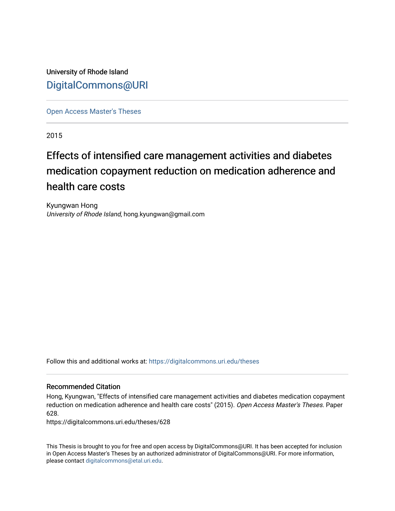University of Rhode Island [DigitalCommons@URI](https://digitalcommons.uri.edu/) 

[Open Access Master's Theses](https://digitalcommons.uri.edu/theses) 

2015

# Effects of intensified care management activities and diabetes medication copayment reduction on medication adherence and health care costs

Kyungwan Hong University of Rhode Island, hong.kyungwan@gmail.com

Follow this and additional works at: [https://digitalcommons.uri.edu/theses](https://digitalcommons.uri.edu/theses?utm_source=digitalcommons.uri.edu%2Ftheses%2F628&utm_medium=PDF&utm_campaign=PDFCoverPages)

#### Recommended Citation

Hong, Kyungwan, "Effects of intensified care management activities and diabetes medication copayment reduction on medication adherence and health care costs" (2015). Open Access Master's Theses. Paper 628.

https://digitalcommons.uri.edu/theses/628

This Thesis is brought to you for free and open access by DigitalCommons@URI. It has been accepted for inclusion in Open Access Master's Theses by an authorized administrator of DigitalCommons@URI. For more information, please contact [digitalcommons@etal.uri.edu.](mailto:digitalcommons@etal.uri.edu)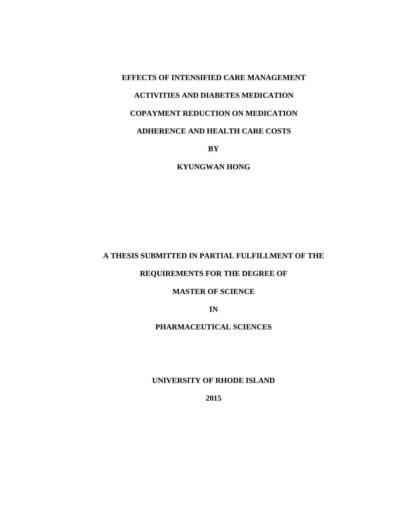**EFFECTS OF INTENSIFIED CARE MANAGEMENT ACTIVITIES AND DIABETES MEDICATION COPAYMENT REDUCTION ON MEDICATION ADHERENCE AND HEALTH CARE COSTS**

**BY**

**KYUNGWAN HONG**

# **A THESIS SUBMITTED IN PARTIAL FULFILLMENT OF THE**

# **REQUIREMENTS FOR THE DEGREE OF**

#### **MASTER OF SCIENCE**

**IN**

# **PHARMACEUTICAL SCIENCES**

## **UNIVERSITY OF RHODE ISLAND**

**2015**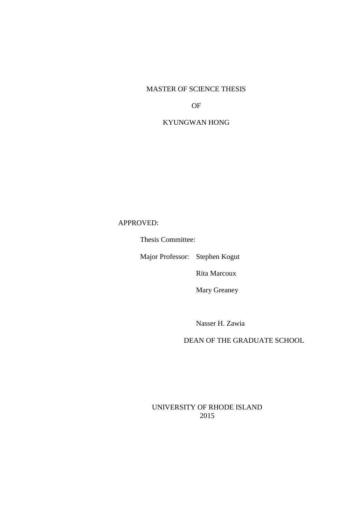### MASTER OF SCIENCE THESIS

OF

# KYUNGWAN HONG

APPROVED:

Thesis Committee:

Major Professor: Stephen Kogut

Rita Marcoux

Mary Greaney

Nasser H. Zawia

DEAN OF THE GRADUATE SCHOOL

UNIVERSITY OF RHODE ISLAND 2015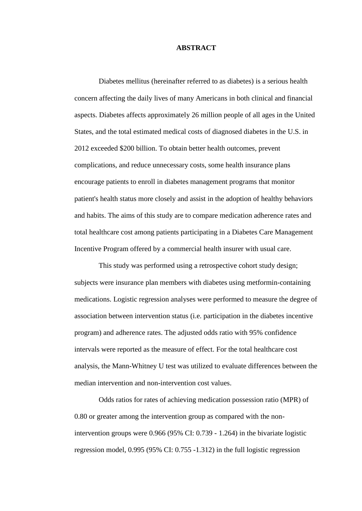#### **ABSTRACT**

Diabetes mellitus (hereinafter referred to as diabetes) is a serious health concern affecting the daily lives of many Americans in both clinical and financial aspects. Diabetes affects approximately 26 million people of all ages in the United States, and the total estimated medical costs of diagnosed diabetes in the U.S. in 2012 exceeded \$200 billion. To obtain better health outcomes, prevent complications, and reduce unnecessary costs, some health insurance plans encourage patients to enroll in diabetes management programs that monitor patient's health status more closely and assist in the adoption of healthy behaviors and habits. The aims of this study are to compare medication adherence rates and total healthcare cost among patients participating in a Diabetes Care Management Incentive Program offered by a commercial health insurer with usual care.

This study was performed using a retrospective cohort study design; subjects were insurance plan members with diabetes using metformin-containing medications. Logistic regression analyses were performed to measure the degree of association between intervention status (i.e. participation in the diabetes incentive program) and adherence rates. The adjusted odds ratio with 95% confidence intervals were reported as the measure of effect. For the total healthcare cost analysis, the Mann-Whitney U test was utilized to evaluate differences between the median intervention and non-intervention cost values.

Odds ratios for rates of achieving medication possession ratio (MPR) of 0.80 or greater among the intervention group as compared with the nonintervention groups were 0.966 (95% CI: 0.739 - 1.264) in the bivariate logistic regression model, 0.995 (95% CI: 0.755 -1.312) in the full logistic regression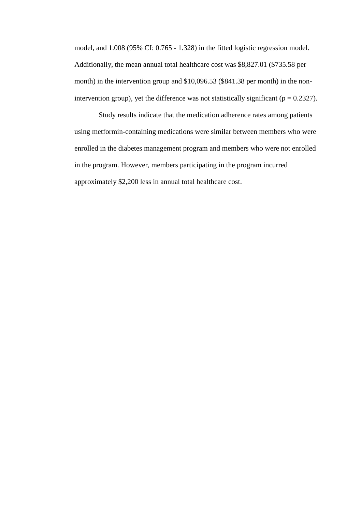model, and 1.008 (95% CI: 0.765 - 1.328) in the fitted logistic regression model. Additionally, the mean annual total healthcare cost was \$8,827.01 (\$735.58 per month) in the intervention group and \$10,096.53 (\$841.38 per month) in the nonintervention group), yet the difference was not statistically significant ( $p = 0.2327$ ).

Study results indicate that the medication adherence rates among patients using metformin-containing medications were similar between members who were enrolled in the diabetes management program and members who were not enrolled in the program. However, members participating in the program incurred approximately \$2,200 less in annual total healthcare cost.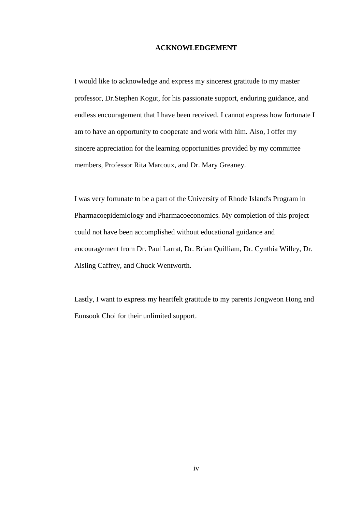#### **ACKNOWLEDGEMENT**

I would like to acknowledge and express my sincerest gratitude to my master professor, Dr.Stephen Kogut, for his passionate support, enduring guidance, and endless encouragement that I have been received. I cannot express how fortunate I am to have an opportunity to cooperate and work with him. Also, I offer my sincere appreciation for the learning opportunities provided by my committee members, Professor Rita Marcoux, and Dr. Mary Greaney.

I was very fortunate to be a part of the University of Rhode Island's Program in Pharmacoepidemiology and Pharmacoeconomics. My completion of this project could not have been accomplished without educational guidance and encouragement from Dr. Paul Larrat, Dr. Brian Quilliam, Dr. Cynthia Willey, Dr. Aisling Caffrey, and Chuck Wentworth.

Lastly, I want to express my heartfelt gratitude to my parents Jongweon Hong and Eunsook Choi for their unlimited support.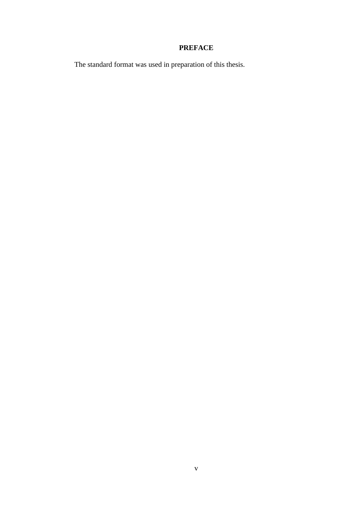# **PREFACE**

v

The standard format was used in preparation of this thesis.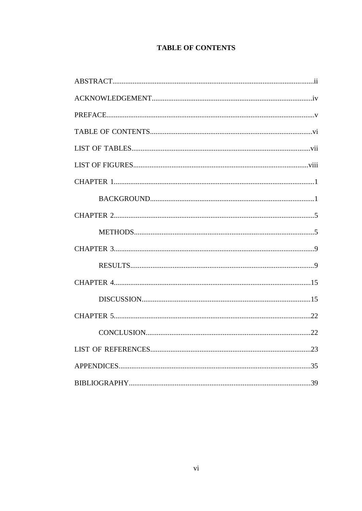# **TABLE OF CONTENTS**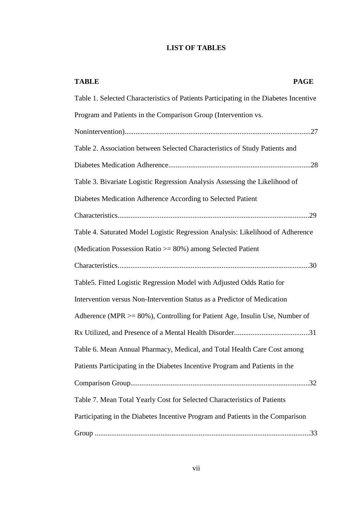# **LIST OF TABLES**

| <b>PAGE</b><br><b>TABLE</b>                                                           |
|---------------------------------------------------------------------------------------|
| Table 1. Selected Characteristics of Patients Participating in the Diabetes Incentive |
| Program and Patients in the Comparison Group (Intervention vs.                        |
|                                                                                       |
| Table 2. Association between Selected Characteristics of Study Patients and           |
|                                                                                       |
| Table 3. Bivariate Logistic Regression Analysis Assessing the Likelihood of           |
| Diabetes Medication Adherence According to Selected Patient                           |
|                                                                                       |
| Table 4. Saturated Model Logistic Regression Analysis: Likelihood of Adherence        |
| (Medication Possession Ratio $\geq$ 80%) among Selected Patient                       |
|                                                                                       |
| Table5. Fitted Logistic Regression Model with Adjusted Odds Ratio for                 |
| Intervention versus Non-Intervention Status as a Predictor of Medication              |
| Adherence (MPR $>= 80\%$ ), Controlling for Patient Age, Insulin Use, Number of       |
|                                                                                       |
| Table 6. Mean Annual Pharmacy, Medical, and Total Health Care Cost among              |
| Patients Participating in the Diabetes Incentive Program and Patients in the          |
|                                                                                       |
| Table 7. Mean Total Yearly Cost for Selected Characteristics of Patients              |
| Participating in the Diabetes Incentive Program and Patients in the Comparison        |
|                                                                                       |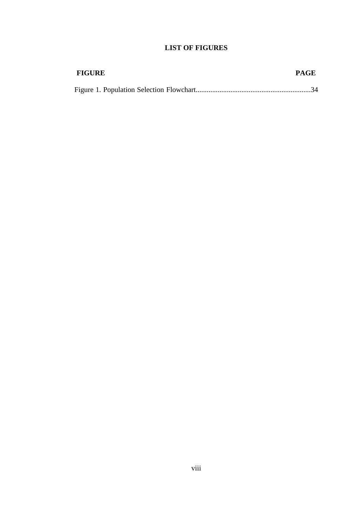# **LIST OF FIGURES**

| <b>FIGURE</b> | <b>PAGE</b> |
|---------------|-------------|
|               |             |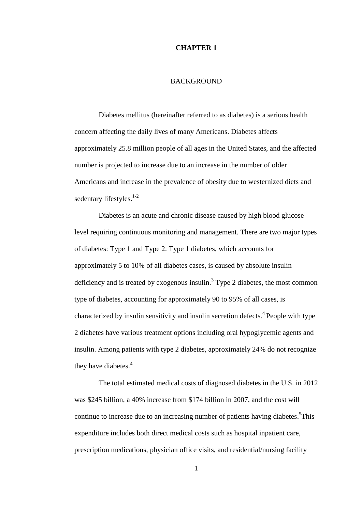#### **CHAPTER 1**

#### BACKGROUND

Diabetes mellitus (hereinafter referred to as diabetes) is a serious health concern affecting the daily lives of many Americans. Diabetes affects approximately 25.8 million people of all ages in the United States, and the affected number is projected to increase due to an increase in the number of older Americans and increase in the prevalence of obesity due to westernized diets and sedentary lifestyles. $1-2$ 

Diabetes is an acute and chronic disease caused by high blood glucose level requiring continuous monitoring and management. There are two major types of diabetes: Type 1 and Type 2. Type 1 diabetes, which accounts for approximately 5 to 10% of all diabetes cases, is caused by absolute insulin deficiency and is treated by exogenous insulin.<sup>3</sup> Type 2 diabetes, the most common type of diabetes, accounting for approximately 90 to 95% of all cases, is characterized by insulin sensitivity and insulin secretion defects.<sup>4</sup> People with type 2 diabetes have various treatment options including oral hypoglycemic agents and insulin. Among patients with type 2 diabetes, approximately 24% do not recognize they have diabetes.<sup>4</sup>

The total estimated medical costs of diagnosed diabetes in the U.S. in 2012 was \$245 billion, a 40% increase from \$174 billion in 2007, and the cost will continue to increase due to an increasing number of patients having diabetes.<sup>5</sup>This expenditure includes both direct medical costs such as hospital inpatient care, prescription medications, physician office visits, and residential/nursing facility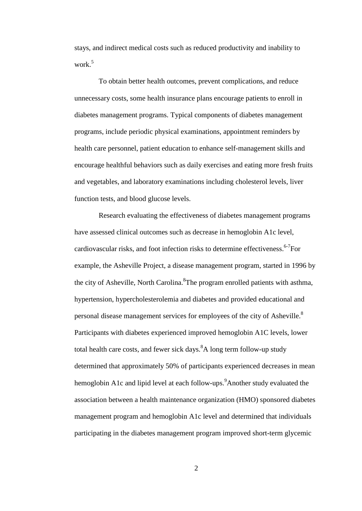stays, and indirect medical costs such as reduced productivity and inability to work $5$ 

To obtain better health outcomes, prevent complications, and reduce unnecessary costs, some health insurance plans encourage patients to enroll in diabetes management programs. Typical components of diabetes management programs, include periodic physical examinations, appointment reminders by health care personnel, patient education to enhance self-management skills and encourage healthful behaviors such as daily exercises and eating more fresh fruits and vegetables, and laboratory examinations including cholesterol levels, liver function tests, and blood glucose levels.

Research evaluating the effectiveness of diabetes management programs have assessed clinical outcomes such as decrease in hemoglobin A1c level, cardiovascular risks, and foot infection risks to determine effectiveness. 6-7 For example, the Asheville Project, a disease management program, started in 1996 by the city of Asheville, North Carolina. <sup>8</sup>The program enrolled patients with asthma, hypertension, hypercholesterolemia and diabetes and provided educational and personal disease management services for employees of the city of Asheville.<sup>8</sup> Participants with diabetes experienced improved hemoglobin A1C levels, lower total health care costs, and fewer sick days.  $A$  long term follow-up study determined that approximately 50% of participants experienced decreases in mean hemoglobin A1c and lipid level at each follow-ups.<sup>9</sup> Another study evaluated the association between a health maintenance organization (HMO) sponsored diabetes management program and hemoglobin A1c level and determined that individuals participating in the diabetes management program improved short-term glycemic

2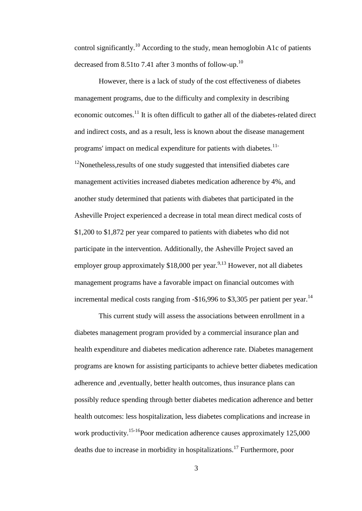control significantly.<sup>10</sup> According to the study, mean hemoglobin A1c of patients decreased from 8.51to 7.41 after 3 months of follow-up.<sup>10</sup>

However, there is a lack of study of the cost effectiveness of diabetes management programs, due to the difficulty and complexity in describing economic outcomes.<sup>11</sup> It is often difficult to gather all of the diabetes-related direct and indirect costs, and as a result, less is known about the disease management programs' impact on medical expenditure for patients with diabetes.<sup>11-</sup>  $12$ Nonetheless, results of one study suggested that intensified diabetes care management activities increased diabetes medication adherence by 4%, and another study determined that patients with diabetes that participated in the Asheville Project experienced a decrease in total mean direct medical costs of \$1,200 to \$1,872 per year compared to patients with diabetes who did not participate in the intervention. Additionally, the Asheville Project saved an employer group approximately \$18,000 per year.<sup>9,13</sup> However, not all diabetes management programs have a favorable impact on financial outcomes with incremental medical costs ranging from  $-$16,996$  to \$3,305 per patient per year.<sup>14</sup>

This current study will assess the associations between enrollment in a diabetes management program provided by a commercial insurance plan and health expenditure and diabetes medication adherence rate. Diabetes management programs are known for assisting participants to achieve better diabetes medication adherence and ,eventually, better health outcomes, thus insurance plans can possibly reduce spending through better diabetes medication adherence and better health outcomes: less hospitalization, less diabetes complications and increase in work productivity.<sup>15-16</sup>Poor medication adherence causes approximately 125,000 deaths due to increase in morbidity in hospitalizations.<sup>17</sup> Furthermore, poor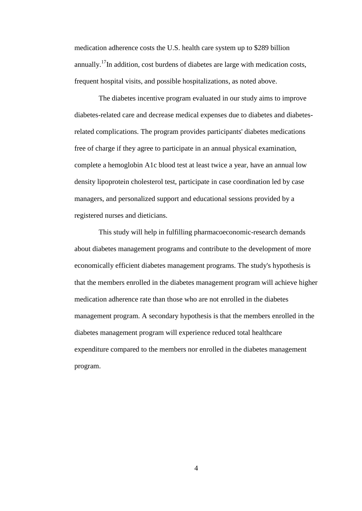medication adherence costs the U.S. health care system up to \$289 billion annually.<sup>17</sup>In addition, cost burdens of diabetes are large with medication costs, frequent hospital visits, and possible hospitalizations, as noted above.

The diabetes incentive program evaluated in our study aims to improve diabetes-related care and decrease medical expenses due to diabetes and diabetesrelated complications. The program provides participants' diabetes medications free of charge if they agree to participate in an annual physical examination, complete a hemoglobin A1c blood test at least twice a year, have an annual low density lipoprotein cholesterol test, participate in case coordination led by case managers, and personalized support and educational sessions provided by a registered nurses and dieticians.

This study will help in fulfilling pharmacoeconomic-research demands about diabetes management programs and contribute to the development of more economically efficient diabetes management programs. The study's hypothesis is that the members enrolled in the diabetes management program will achieve higher medication adherence rate than those who are not enrolled in the diabetes management program. A secondary hypothesis is that the members enrolled in the diabetes management program will experience reduced total healthcare expenditure compared to the members nor enrolled in the diabetes management program.

4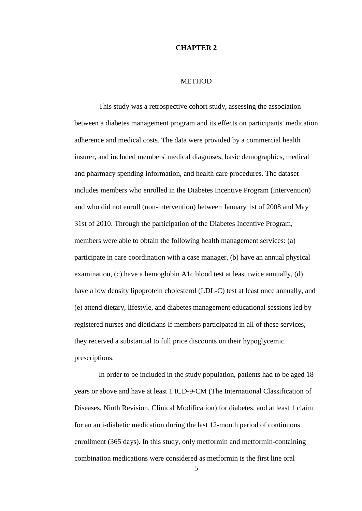#### **CHAPTER 2**

#### METHOD

This study was a retrospective cohort study, assessing the association between a diabetes management program and its effects on participants' medication adherence and medical costs. The data were provided by a commercial health insurer, and included members' medical diagnoses, basic demographics, medical and pharmacy spending information, and health care procedures. The dataset includes members who enrolled in the Diabetes Incentive Program (intervention) and who did not enroll (non-intervention) between January 1st of 2008 and May 31st of 2010. Through the participation of the Diabetes Incentive Program, members were able to obtain the following health management services: (a) participate in care coordination with a case manager, (b) have an annual physical examination, (c) have a hemoglobin A1c blood test at least twice annually, (d) have a low density lipoprotein cholesterol (LDL-C) test at least once annually, and (e) attend dietary, lifestyle, and diabetes management educational sessions led by registered nurses and dieticians If members participated in all of these services, they received a substantial to full price discounts on their hypoglycemic prescriptions.

In order to be included in the study population, patients had to be aged 18 years or above and have at least 1 ICD-9-CM (The International Classification of Diseases, Ninth Revision, Clinical Modification) for diabetes, and at least 1 claim for an anti-diabetic medication during the last 12-month period of continuous enrollment (365 days). In this study, only metformin and metformin-containing combination medications were considered as metformin is the first line oral

5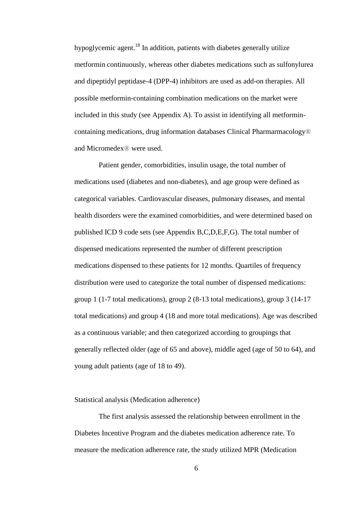hypoglycemic agent.<sup>18</sup> In addition, patients with diabetes generally utilize metformin continuously, whereas other diabetes medications such as sulfonylurea and dipeptidyl peptidase-4 (DPP-4) inhibitors are used as add-on therapies. All possible metformin-containing combination medications on the market were included in this study (see Appendix A). To assist in identifying all metformincontaining medications, drug information databases Clinical Pharmarmacology® and Micromedex® were used.

Patient gender, comorbidities, insulin usage, the total number of medications used (diabetes and non-diabetes), and age group were defined as categorical variables. Cardiovascular diseases, pulmonary diseases, and mental health disorders were the examined comorbidities, and were determined based on published ICD 9 code sets (see Appendix B,C,D,E,F,G). The total number of dispensed medications represented the number of different prescription medications dispensed to these patients for 12 months. Quartiles of frequency distribution were used to categorize the total number of dispensed medications: group 1 (1-7 total medications), group 2 (8-13 total medications), group 3 (14-17 total medications) and group 4 (18 and more total medications). Age was described as a continuous variable; and then categorized according to groupings that generally reflected older (age of 65 and above), middle aged (age of 50 to 64), and young adult patients (age of 18 to 49).

#### Statistical analysis (Medication adherence)

The first analysis assessed the relationship between enrollment in the Diabetes Incentive Program and the diabetes medication adherence rate. To measure the medication adherence rate, the study utilized MPR (Medication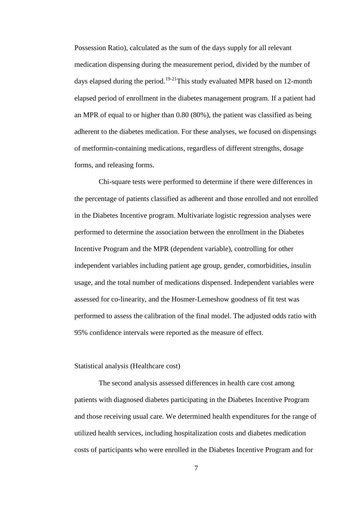Possession Ratio), calculated as the sum of the days supply for all relevant medication dispensing during the measurement period, divided by the number of days elapsed during the period.<sup>19-21</sup> This study evaluated MPR based on 12-month elapsed period of enrollment in the diabetes management program. If a patient had an MPR of equal to or higher than 0.80 (80%), the patient was classified as being adherent to the diabetes medication. For these analyses, we focused on dispensings of metformin-containing medications, regardless of different strengths, dosage forms, and releasing forms.

Chi-square tests were performed to determine if there were differences in the percentage of patients classified as adherent and those enrolled and not enrolled in the Diabetes Incentive program. Multivariate logistic regression analyses were performed to determine the association between the enrollment in the Diabetes Incentive Program and the MPR (dependent variable), controlling for other independent variables including patient age group, gender, comorbidities, insulin usage, and the total number of medications dispensed. Independent variables were assessed for co-linearity, and the Hosmer-Lemeshow goodness of fit test was performed to assess the calibration of the final model. The adjusted odds ratio with 95% confidence intervals were reported as the measure of effect.

#### Statistical analysis (Healthcare cost)

The second analysis assessed differences in health care cost among patients with diagnosed diabetes participating in the Diabetes Incentive Program and those receiving usual care. We determined health expenditures for the range of utilized health services, including hospitalization costs and diabetes medication costs of participants who were enrolled in the Diabetes Incentive Program and for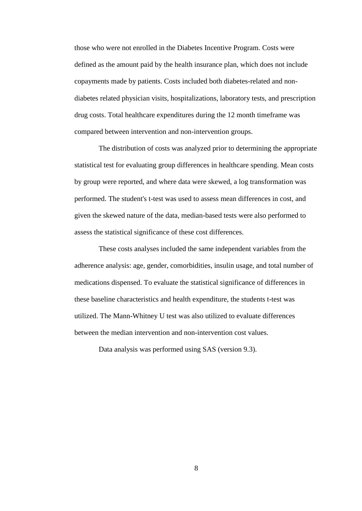those who were not enrolled in the Diabetes Incentive Program. Costs were defined as the amount paid by the health insurance plan, which does not include copayments made by patients. Costs included both diabetes-related and nondiabetes related physician visits, hospitalizations, laboratory tests, and prescription drug costs. Total healthcare expenditures during the 12 month timeframe was compared between intervention and non-intervention groups.

The distribution of costs was analyzed prior to determining the appropriate statistical test for evaluating group differences in healthcare spending. Mean costs by group were reported, and where data were skewed, a log transformation was performed. The student's t-test was used to assess mean differences in cost, and given the skewed nature of the data, median-based tests were also performed to assess the statistical significance of these cost differences.

These costs analyses included the same independent variables from the adherence analysis: age, gender, comorbidities, insulin usage, and total number of medications dispensed. To evaluate the statistical significance of differences in these baseline characteristics and health expenditure, the students t-test was utilized. The Mann-Whitney U test was also utilized to evaluate differences between the median intervention and non-intervention cost values.

Data analysis was performed using SAS (version 9.3).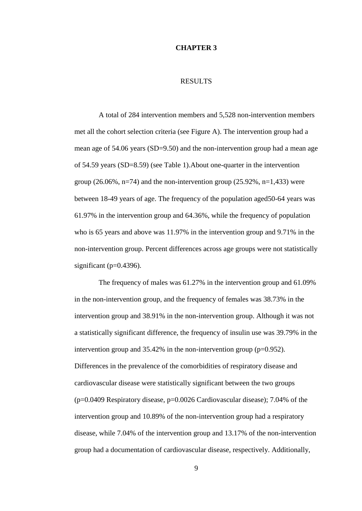#### **CHAPTER 3**

#### RESULTS

A total of 284 intervention members and 5,528 non-intervention members met all the cohort selection criteria (see Figure A). The intervention group had a mean age of 54.06 years (SD=9.50) and the non-intervention group had a mean age of 54.59 years (SD=8.59) (see Table 1).About one-quarter in the intervention group (26.06%, n=74) and the non-intervention group (25.92%, n=1,433) were between 18-49 years of age. The frequency of the population aged50-64 years was 61.97% in the intervention group and 64.36%, while the frequency of population who is 65 years and above was 11.97% in the intervention group and 9.71% in the non-intervention group. Percent differences across age groups were not statistically significant ( $p=0.4396$ ).

The frequency of males was 61.27% in the intervention group and 61.09% in the non-intervention group, and the frequency of females was 38.73% in the intervention group and 38.91% in the non-intervention group. Although it was not a statistically significant difference, the frequency of insulin use was 39.79% in the intervention group and  $35.42\%$  in the non-intervention group ( $p=0.952$ ). Differences in the prevalence of the comorbidities of respiratory disease and cardiovascular disease were statistically significant between the two groups (p=0.0409 Respiratory disease, p=0.0026 Cardiovascular disease); 7.04% of the intervention group and 10.89% of the non-intervention group had a respiratory disease, while 7.04% of the intervention group and 13.17% of the non-intervention group had a documentation of cardiovascular disease, respectively. Additionally,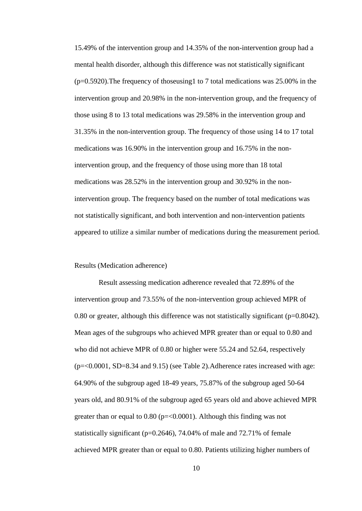15.49% of the intervention group and 14.35% of the non-intervention group had a mental health disorder, although this difference was not statistically significant  $(p=0.5920)$ . The frequency of thoseusing 1 to 7 total medications was 25.00% in the intervention group and 20.98% in the non-intervention group, and the frequency of those using 8 to 13 total medications was 29.58% in the intervention group and 31.35% in the non-intervention group. The frequency of those using 14 to 17 total medications was 16.90% in the intervention group and 16.75% in the nonintervention group, and the frequency of those using more than 18 total medications was 28.52% in the intervention group and 30.92% in the nonintervention group. The frequency based on the number of total medications was not statistically significant, and both intervention and non-intervention patients appeared to utilize a similar number of medications during the measurement period.

#### Results (Medication adherence)

Result assessing medication adherence revealed that 72.89% of the intervention group and 73.55% of the non-intervention group achieved MPR of 0.80 or greater, although this difference was not statistically significant (p=0.8042). Mean ages of the subgroups who achieved MPR greater than or equal to 0.80 and who did not achieve MPR of 0.80 or higher were 55.24 and 52.64, respectively  $(p=\leq 0.0001, SD=8.34$  and 9.15) (see Table 2). Adherence rates increased with age: 64.90% of the subgroup aged 18-49 years, 75.87% of the subgroup aged 50-64 years old, and 80.91% of the subgroup aged 65 years old and above achieved MPR greater than or equal to  $0.80$  ( $p = 0.0001$ ). Although this finding was not statistically significant ( $p=0.2646$ ), 74.04% of male and 72.71% of female achieved MPR greater than or equal to 0.80. Patients utilizing higher numbers of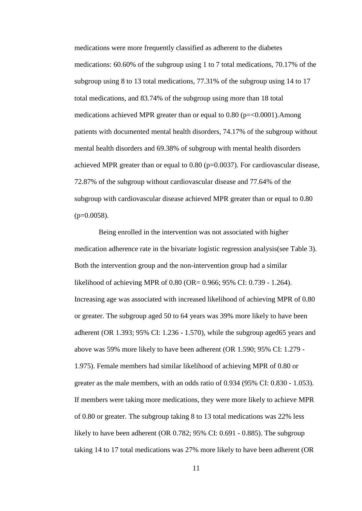medications were more frequently classified as adherent to the diabetes medications: 60.60% of the subgroup using 1 to 7 total medications, 70.17% of the subgroup using 8 to 13 total medications, 77.31% of the subgroup using 14 to 17 total medications, and 83.74% of the subgroup using more than 18 total medications achieved MPR greater than or equal to 0.80 (p=<0.0001).Among patients with documented mental health disorders, 74.17% of the subgroup without mental health disorders and 69.38% of subgroup with mental health disorders achieved MPR greater than or equal to  $0.80$  (p=0.0037). For cardiovascular disease, 72.87% of the subgroup without cardiovascular disease and 77.64% of the subgroup with cardiovascular disease achieved MPR greater than or equal to 0.80  $(p=0.0058)$ .

Being enrolled in the intervention was not associated with higher medication adherence rate in the bivariate logistic regression analysis(see Table 3). Both the intervention group and the non-intervention group had a similar likelihood of achieving MPR of 0.80 (OR= 0.966; 95% CI: 0.739 - 1.264). Increasing age was associated with increased likelihood of achieving MPR of 0.80 or greater. The subgroup aged 50 to 64 years was 39% more likely to have been adherent (OR 1.393; 95% CI: 1.236 - 1.570), while the subgroup aged65 years and above was 59% more likely to have been adherent (OR 1.590; 95% CI: 1.279 - 1.975). Female members had similar likelihood of achieving MPR of 0.80 or greater as the male members, with an odds ratio of 0.934 (95% CI: 0.830 - 1.053). If members were taking more medications, they were more likely to achieve MPR of 0.80 or greater. The subgroup taking 8 to 13 total medications was 22% less likely to have been adherent (OR 0.782; 95% CI: 0.691 - 0.885). The subgroup taking 14 to 17 total medications was 27% more likely to have been adherent (OR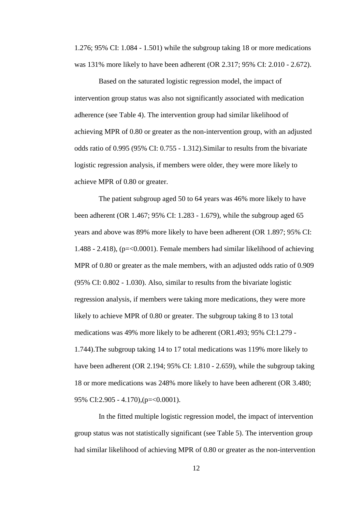1.276; 95% CI: 1.084 - 1.501) while the subgroup taking 18 or more medications was 131% more likely to have been adherent (OR 2.317; 95% CI: 2.010 - 2.672).

Based on the saturated logistic regression model, the impact of intervention group status was also not significantly associated with medication adherence (see Table 4). The intervention group had similar likelihood of achieving MPR of 0.80 or greater as the non-intervention group, with an adjusted odds ratio of 0.995 (95% CI: 0.755 - 1.312).Similar to results from the bivariate logistic regression analysis, if members were older, they were more likely to achieve MPR of 0.80 or greater.

The patient subgroup aged 50 to 64 years was 46% more likely to have been adherent (OR 1.467; 95% CI: 1.283 - 1.679), while the subgroup aged 65 years and above was 89% more likely to have been adherent (OR 1.897; 95% CI: 1.488 - 2.418), (p=<0.0001). Female members had similar likelihood of achieving MPR of 0.80 or greater as the male members, with an adjusted odds ratio of 0.909 (95% CI: 0.802 - 1.030). Also, similar to results from the bivariate logistic regression analysis, if members were taking more medications, they were more likely to achieve MPR of 0.80 or greater. The subgroup taking 8 to 13 total medications was 49% more likely to be adherent (OR1.493; 95% CI:1.279 - 1.744).The subgroup taking 14 to 17 total medications was 119% more likely to have been adherent (OR 2.194; 95% CI: 1.810 - 2.659), while the subgroup taking 18 or more medications was 248% more likely to have been adherent (OR 3.480; 95% CI:2.905 - 4.170),(p=<0.0001).

In the fitted multiple logistic regression model, the impact of intervention group status was not statistically significant (see Table 5). The intervention group had similar likelihood of achieving MPR of 0.80 or greater as the non-intervention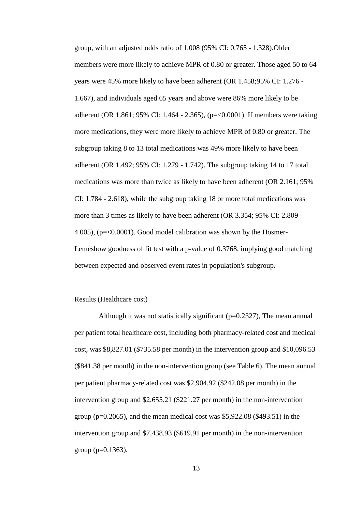group, with an adjusted odds ratio of 1.008 (95% CI: 0.765 - 1.328).Older members were more likely to achieve MPR of 0.80 or greater. Those aged 50 to 64 years were 45% more likely to have been adherent (OR 1.458;95% CI: 1.276 - 1.667), and individuals aged 65 years and above were 86% more likely to be adherent (OR 1.861; 95% CI: 1.464 - 2.365), (p=<0.0001). If members were taking more medications, they were more likely to achieve MPR of 0.80 or greater. The subgroup taking 8 to 13 total medications was 49% more likely to have been adherent (OR 1.492; 95% CI: 1.279 - 1.742). The subgroup taking 14 to 17 total medications was more than twice as likely to have been adherent (OR 2.161; 95% CI: 1.784 - 2.618), while the subgroup taking 18 or more total medications was more than 3 times as likely to have been adherent (OR 3.354; 95% CI: 2.809 - 4.005), (p=<0.0001). Good model calibration was shown by the Hosmer-Lemeshow goodness of fit test with a p-value of 0.3768, implying good matching between expected and observed event rates in population's subgroup.

#### Results (Healthcare cost)

Although it was not statistically significant  $(p=0.2327)$ , The mean annual per patient total healthcare cost, including both pharmacy-related cost and medical cost, was \$8,827.01 (\$735.58 per month) in the intervention group and \$10,096.53 (\$841.38 per month) in the non-intervention group (see Table 6). The mean annual per patient pharmacy-related cost was \$2,904.92 (\$242.08 per month) in the intervention group and \$2,655.21 (\$221.27 per month) in the non-intervention group ( $p=0.2065$ ), and the mean medical cost was \$5,922.08 (\$493.51) in the intervention group and \$7,438.93 (\$619.91 per month) in the non-intervention group ( $p=0.1363$ ).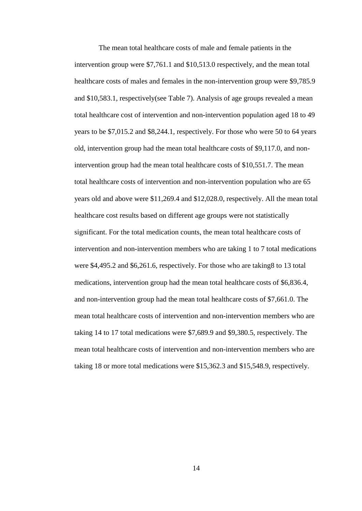The mean total healthcare costs of male and female patients in the intervention group were \$7,761.1 and \$10,513.0 respectively, and the mean total healthcare costs of males and females in the non-intervention group were \$9,785.9 and \$10,583.1, respectively(see Table 7). Analysis of age groups revealed a mean total healthcare cost of intervention and non-intervention population aged 18 to 49 years to be \$7,015.2 and \$8,244.1, respectively. For those who were 50 to 64 years old, intervention group had the mean total healthcare costs of \$9,117.0, and nonintervention group had the mean total healthcare costs of \$10,551.7. The mean total healthcare costs of intervention and non-intervention population who are 65 years old and above were \$11,269.4 and \$12,028.0, respectively. All the mean total healthcare cost results based on different age groups were not statistically significant. For the total medication counts, the mean total healthcare costs of intervention and non-intervention members who are taking 1 to 7 total medications were \$4,495.2 and \$6,261.6, respectively. For those who are taking8 to 13 total medications, intervention group had the mean total healthcare costs of \$6,836.4, and non-intervention group had the mean total healthcare costs of \$7,661.0. The mean total healthcare costs of intervention and non-intervention members who are taking 14 to 17 total medications were \$7,689.9 and \$9,380.5, respectively. The mean total healthcare costs of intervention and non-intervention members who are taking 18 or more total medications were \$15,362.3 and \$15,548.9, respectively.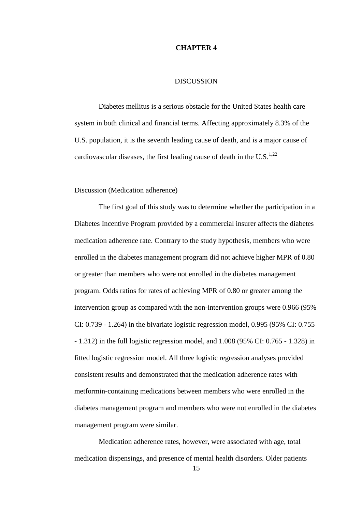#### **CHAPTER 4**

#### DISCUSSION

Diabetes mellitus is a serious obstacle for the United States health care system in both clinical and financial terms. Affecting approximately 8.3% of the U.S. population, it is the seventh leading cause of death, and is a major cause of cardiovascular diseases, the first leading cause of death in the U.S.<sup>1,22</sup>

Discussion (Medication adherence)

The first goal of this study was to determine whether the participation in a Diabetes Incentive Program provided by a commercial insurer affects the diabetes medication adherence rate. Contrary to the study hypothesis, members who were enrolled in the diabetes management program did not achieve higher MPR of 0.80 or greater than members who were not enrolled in the diabetes management program. Odds ratios for rates of achieving MPR of 0.80 or greater among the intervention group as compared with the non-intervention groups were 0.966 (95% CI: 0.739 - 1.264) in the bivariate logistic regression model, 0.995 (95% CI: 0.755 - 1.312) in the full logistic regression model, and 1.008 (95% CI: 0.765 - 1.328) in fitted logistic regression model. All three logistic regression analyses provided consistent results and demonstrated that the medication adherence rates with metformin-containing medications between members who were enrolled in the diabetes management program and members who were not enrolled in the diabetes management program were similar.

Medication adherence rates, however, were associated with age, total medication dispensings, and presence of mental health disorders. Older patients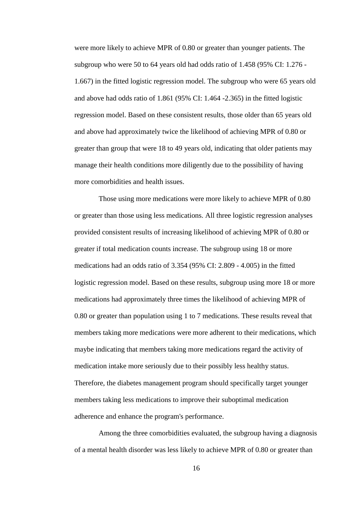were more likely to achieve MPR of 0.80 or greater than younger patients. The subgroup who were 50 to 64 years old had odds ratio of 1.458 (95% CI: 1.276 - 1.667) in the fitted logistic regression model. The subgroup who were 65 years old and above had odds ratio of 1.861 (95% CI: 1.464 -2.365) in the fitted logistic regression model. Based on these consistent results, those older than 65 years old and above had approximately twice the likelihood of achieving MPR of 0.80 or greater than group that were 18 to 49 years old, indicating that older patients may manage their health conditions more diligently due to the possibility of having more comorbidities and health issues.

Those using more medications were more likely to achieve MPR of 0.80 or greater than those using less medications. All three logistic regression analyses provided consistent results of increasing likelihood of achieving MPR of 0.80 or greater if total medication counts increase. The subgroup using 18 or more medications had an odds ratio of 3.354 (95% CI: 2.809 - 4.005) in the fitted logistic regression model. Based on these results, subgroup using more 18 or more medications had approximately three times the likelihood of achieving MPR of 0.80 or greater than population using 1 to 7 medications. These results reveal that members taking more medications were more adherent to their medications, which maybe indicating that members taking more medications regard the activity of medication intake more seriously due to their possibly less healthy status. Therefore, the diabetes management program should specifically target younger members taking less medications to improve their suboptimal medication adherence and enhance the program's performance.

Among the three comorbidities evaluated, the subgroup having a diagnosis of a mental health disorder was less likely to achieve MPR of 0.80 or greater than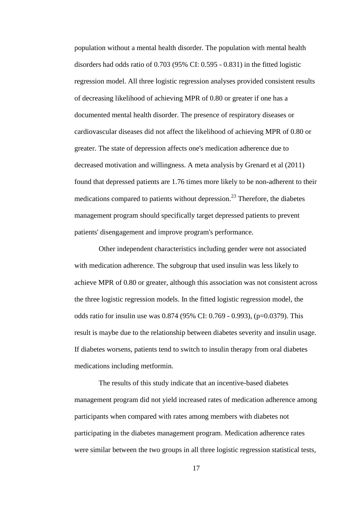population without a mental health disorder. The population with mental health disorders had odds ratio of 0.703 (95% CI: 0.595 - 0.831) in the fitted logistic regression model. All three logistic regression analyses provided consistent results of decreasing likelihood of achieving MPR of 0.80 or greater if one has a documented mental health disorder. The presence of respiratory diseases or cardiovascular diseases did not affect the likelihood of achieving MPR of 0.80 or greater. The state of depression affects one's medication adherence due to decreased motivation and willingness. A meta analysis by Grenard et al (2011) found that depressed patients are 1.76 times more likely to be non-adherent to their medications compared to patients without depression.<sup>23</sup> Therefore, the diabetes management program should specifically target depressed patients to prevent patients' disengagement and improve program's performance.

Other independent characteristics including gender were not associated with medication adherence. The subgroup that used insulin was less likely to achieve MPR of 0.80 or greater, although this association was not consistent across the three logistic regression models. In the fitted logistic regression model, the odds ratio for insulin use was 0.874 (95% CI: 0.769 - 0.993), (p=0.0379). This result is maybe due to the relationship between diabetes severity and insulin usage. If diabetes worsens, patients tend to switch to insulin therapy from oral diabetes medications including metformin.

The results of this study indicate that an incentive-based diabetes management program did not yield increased rates of medication adherence among participants when compared with rates among members with diabetes not participating in the diabetes management program. Medication adherence rates were similar between the two groups in all three logistic regression statistical tests,

17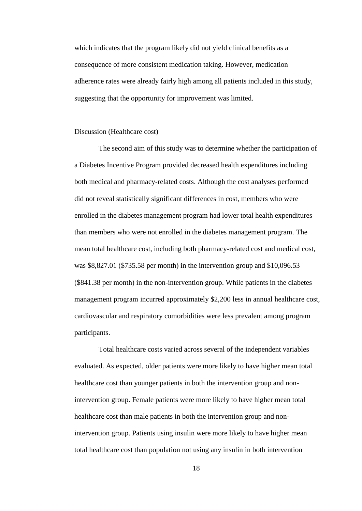which indicates that the program likely did not yield clinical benefits as a consequence of more consistent medication taking. However, medication adherence rates were already fairly high among all patients included in this study, suggesting that the opportunity for improvement was limited.

#### Discussion (Healthcare cost)

The second aim of this study was to determine whether the participation of a Diabetes Incentive Program provided decreased health expenditures including both medical and pharmacy-related costs. Although the cost analyses performed did not reveal statistically significant differences in cost, members who were enrolled in the diabetes management program had lower total health expenditures than members who were not enrolled in the diabetes management program. The mean total healthcare cost, including both pharmacy-related cost and medical cost, was \$8,827.01 (\$735.58 per month) in the intervention group and \$10,096.53 (\$841.38 per month) in the non-intervention group. While patients in the diabetes management program incurred approximately \$2,200 less in annual healthcare cost, cardiovascular and respiratory comorbidities were less prevalent among program participants.

Total healthcare costs varied across several of the independent variables evaluated. As expected, older patients were more likely to have higher mean total healthcare cost than younger patients in both the intervention group and nonintervention group. Female patients were more likely to have higher mean total healthcare cost than male patients in both the intervention group and nonintervention group. Patients using insulin were more likely to have higher mean total healthcare cost than population not using any insulin in both intervention

18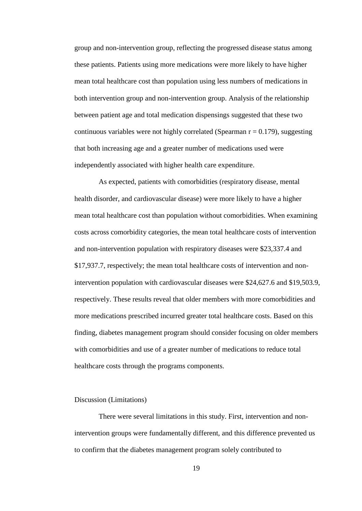group and non-intervention group, reflecting the progressed disease status among these patients. Patients using more medications were more likely to have higher mean total healthcare cost than population using less numbers of medications in both intervention group and non-intervention group. Analysis of the relationship between patient age and total medication dispensings suggested that these two continuous variables were not highly correlated (Spearman  $r = 0.179$ ), suggesting that both increasing age and a greater number of medications used were independently associated with higher health care expenditure.

As expected, patients with comorbidities (respiratory disease, mental health disorder, and cardiovascular disease) were more likely to have a higher mean total healthcare cost than population without comorbidities. When examining costs across comorbidity categories, the mean total healthcare costs of intervention and non-intervention population with respiratory diseases were \$23,337.4 and \$17,937.7, respectively; the mean total healthcare costs of intervention and nonintervention population with cardiovascular diseases were \$24,627.6 and \$19,503.9, respectively. These results reveal that older members with more comorbidities and more medications prescribed incurred greater total healthcare costs. Based on this finding, diabetes management program should consider focusing on older members with comorbidities and use of a greater number of medications to reduce total healthcare costs through the programs components.

#### Discussion (Limitations)

There were several limitations in this study. First, intervention and nonintervention groups were fundamentally different, and this difference prevented us to confirm that the diabetes management program solely contributed to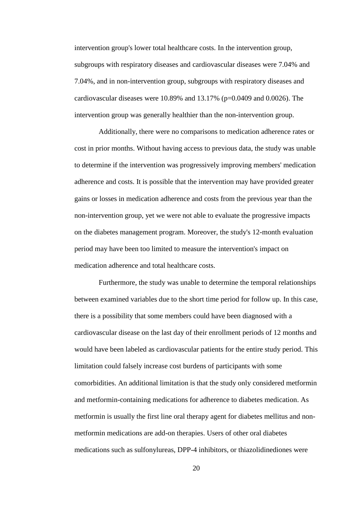intervention group's lower total healthcare costs. In the intervention group, subgroups with respiratory diseases and cardiovascular diseases were 7.04% and 7.04%, and in non-intervention group, subgroups with respiratory diseases and cardiovascular diseases were 10.89% and 13.17% (p=0.0409 and 0.0026). The intervention group was generally healthier than the non-intervention group.

Additionally, there were no comparisons to medication adherence rates or cost in prior months. Without having access to previous data, the study was unable to determine if the intervention was progressively improving members' medication adherence and costs. It is possible that the intervention may have provided greater gains or losses in medication adherence and costs from the previous year than the non-intervention group, yet we were not able to evaluate the progressive impacts on the diabetes management program. Moreover, the study's 12-month evaluation period may have been too limited to measure the intervention's impact on medication adherence and total healthcare costs.

Furthermore, the study was unable to determine the temporal relationships between examined variables due to the short time period for follow up. In this case, there is a possibility that some members could have been diagnosed with a cardiovascular disease on the last day of their enrollment periods of 12 months and would have been labeled as cardiovascular patients for the entire study period. This limitation could falsely increase cost burdens of participants with some comorbidities. An additional limitation is that the study only considered metformin and metformin-containing medications for adherence to diabetes medication. As metformin is usually the first line oral therapy agent for diabetes mellitus and nonmetformin medications are add-on therapies. Users of other oral diabetes medications such as sulfonylureas, DPP-4 inhibitors, or thiazolidinediones were

20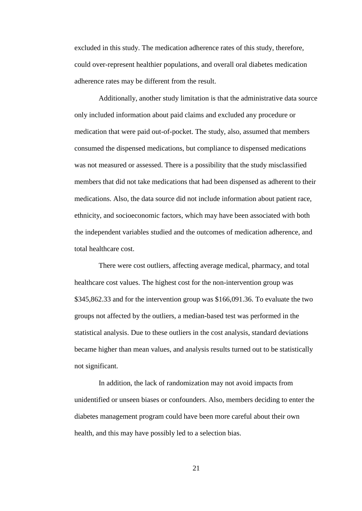excluded in this study. The medication adherence rates of this study, therefore, could over-represent healthier populations, and overall oral diabetes medication adherence rates may be different from the result.

Additionally, another study limitation is that the administrative data source only included information about paid claims and excluded any procedure or medication that were paid out-of-pocket. The study, also, assumed that members consumed the dispensed medications, but compliance to dispensed medications was not measured or assessed. There is a possibility that the study misclassified members that did not take medications that had been dispensed as adherent to their medications. Also, the data source did not include information about patient race, ethnicity, and socioeconomic factors, which may have been associated with both the independent variables studied and the outcomes of medication adherence, and total healthcare cost.

There were cost outliers, affecting average medical, pharmacy, and total healthcare cost values. The highest cost for the non-intervention group was \$345,862.33 and for the intervention group was \$166,091.36. To evaluate the two groups not affected by the outliers, a median-based test was performed in the statistical analysis. Due to these outliers in the cost analysis, standard deviations became higher than mean values, and analysis results turned out to be statistically not significant.

In addition, the lack of randomization may not avoid impacts from unidentified or unseen biases or confounders. Also, members deciding to enter the diabetes management program could have been more careful about their own health, and this may have possibly led to a selection bias.

21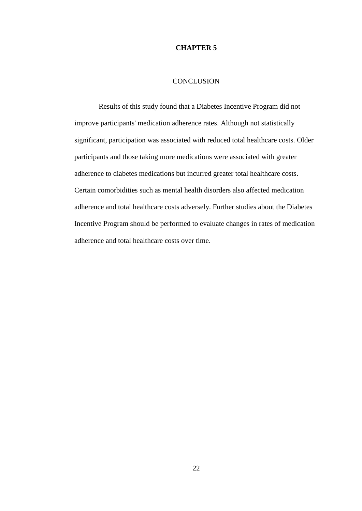#### **CHAPTER 5**

### **CONCLUSION**

Results of this study found that a Diabetes Incentive Program did not improve participants' medication adherence rates. Although not statistically significant, participation was associated with reduced total healthcare costs. Older participants and those taking more medications were associated with greater adherence to diabetes medications but incurred greater total healthcare costs. Certain comorbidities such as mental health disorders also affected medication adherence and total healthcare costs adversely. Further studies about the Diabetes Incentive Program should be performed to evaluate changes in rates of medication adherence and total healthcare costs over time.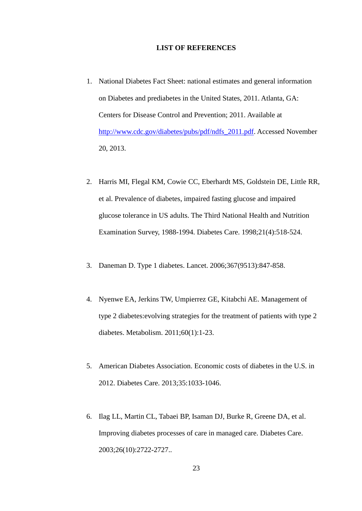#### **LIST OF REFERENCES**

- 1. National Diabetes Fact Sheet: national estimates and general information on Diabetes and prediabetes in the United States, 2011. Atlanta, GA: Centers for Disease Control and Prevention; 2011. Available at [http://www.cdc.gov/diabetes/pubs/pdf/ndfs\\_2011.pdf.](http://www.cdc.gov/diabetes/pubs/pdf/ndfs_2011.pdf) Accessed November 20, 2013.
- 2. Harris MI, Flegal KM, Cowie CC, Eberhardt MS, Goldstein DE, Little RR, et al. Prevalence of diabetes, impaired fasting glucose and impaired glucose tolerance in US adults. The Third National Health and Nutrition Examination Survey, 1988-1994. Diabetes Care. 1998;21(4):518-524.
- 3. Daneman D. Type 1 diabetes. Lancet. 2006;367(9513):847-858.
- 4. Nyenwe EA, Jerkins TW, Umpierrez GE, Kitabchi AE. Management of type 2 diabetes:evolving strategies for the treatment of patients with type 2 diabetes. Metabolism. 2011;60(1):1-23.
- 5. American Diabetes Association. Economic costs of diabetes in the U.S. in 2012. Diabetes Care. 2013;35:1033-1046.
- 6. Ilag LL, Martin CL, Tabaei BP, Isaman DJ, Burke R, Greene DA, et al. Improving diabetes processes of care in managed care. Diabetes Care. 2003;26(10):2722-2727..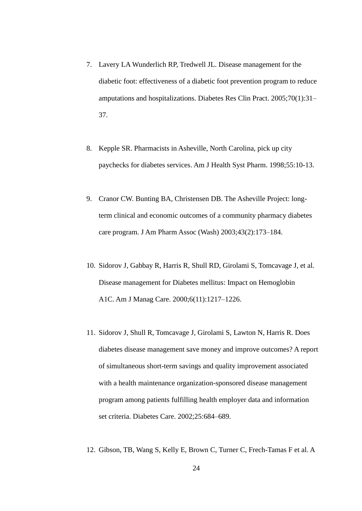- 7. Lavery LA Wunderlich RP, Tredwell JL. Disease management for the diabetic foot: effectiveness of a diabetic foot prevention program to reduce amputations and hospitalizations. Diabetes Res Clin Pract. 2005;70(1):31– 37.
- 8. Kepple SR. Pharmacists in Asheville, North Carolina, pick up city paychecks for diabetes services. Am J Health Syst Pharm. 1998;55:10-13.
- 9. Cranor CW. Bunting BA, Christensen DB. The Asheville Project: longterm clinical and economic outcomes of a community pharmacy diabetes care program. J Am Pharm Assoc (Wash) 2003;43(2):173–184.
- 10. Sidorov J, Gabbay R, Harris R, Shull RD, Girolami S, Tomcavage J, et al. Disease management for Diabetes mellitus: Impact on Hemoglobin A1C. Am J Manag Care. 2000;6(11):1217–1226.
- 11. Sidorov J, Shull R, Tomcavage J, Girolami S, Lawton N, Harris R. Does diabetes disease management save money and improve outcomes? A report of simultaneous short-term savings and quality improvement associated with a health maintenance organization-sponsored disease management program among patients fulfilling health employer data and information set criteria. Diabetes Care. 2002;25:684–689.
- 12. Gibson, TB, Wang S, Kelly E, Brown C, Turner C, Frech-Tamas F et al. A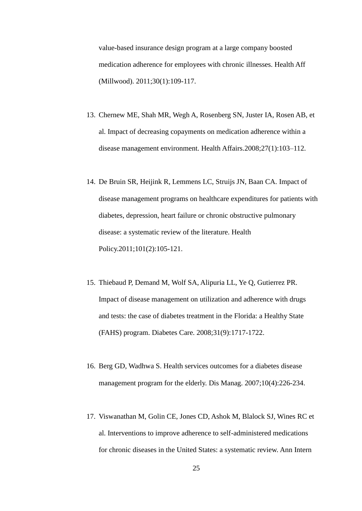value-based insurance design program at a large company boosted medication adherence for employees with chronic illnesses. Health Aff (Millwood). 2011;30(1):109-117.

- 13. Chernew ME, Shah MR, Wegh A, Rosenberg SN, Juster IA, Rosen AB, et al. Impact of decreasing copayments on medication adherence within a disease management environment. Health Affairs.2008;27(1):103–112.
- 14. De Bruin SR, Heijink R, Lemmens LC, Struijs JN, Baan CA. Impact of disease management programs on healthcare expenditures for patients with diabetes, depression, heart failure or chronic obstructive pulmonary disease: a systematic review of the literature. Health Policy.2011;101(2):105-121.
- 15. Thiebaud P, Demand M, Wolf SA, Alipuria LL, Ye Q, Gutierrez PR. Impact of disease management on utilization and adherence with drugs and tests: the case of diabetes treatment in the Florida: a Healthy State (FAHS) program. Diabetes Care. 2008;31(9):1717-1722.
- 16. Berg GD, Wadhwa S. Health services outcomes for a diabetes disease management program for the elderly. Dis Manag. 2007;10(4):226-234.
- 17. Viswanathan M, Golin CE, Jones CD, Ashok M, Blalock SJ, Wines RC et al. Interventions to improve adherence to self-administered medications for chronic diseases in the United States: a systematic review. Ann Intern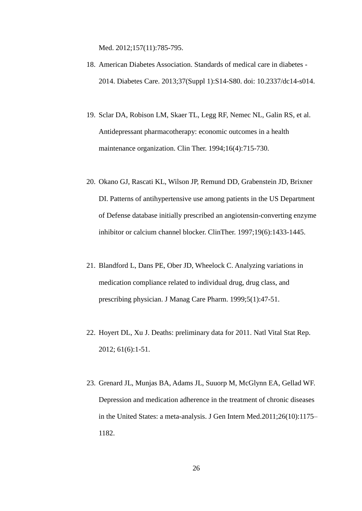Med. 2012;157(11):785-795.

- 18. American Diabetes Association. Standards of medical care in diabetes 2014. Diabetes Care. 2013;37(Suppl 1):S14-S80. doi: 10.2337/dc14-s014.
- 19. Sclar DA, Robison LM, Skaer TL, Legg RF, Nemec NL, Galin RS, et al. Antidepressant pharmacotherapy: economic outcomes in a health maintenance organization. Clin Ther. 1994;16(4):715-730.
- 20. Okano GJ, Rascati KL, Wilson JP, Remund DD, Grabenstein JD, Brixner DI. Patterns of antihypertensive use among patients in the US Department of Defense database initially prescribed an angiotensin-converting enzyme inhibitor or calcium channel blocker. ClinTher. 1997;19(6):1433-1445.
- 21. Blandford L, Dans PE, Ober JD, Wheelock C. Analyzing variations in medication compliance related to individual drug, drug class, and prescribing physician. J Manag Care Pharm. 1999;5(1):47-51.
- 22. Hoyert DL, Xu J. Deaths: preliminary data for 2011. Natl Vital Stat Rep. 2012; 61(6):1-51.
- 23. Grenard JL, Munjas BA, Adams JL, Suuorp M, McGlynn EA, Gellad WF. Depression and medication adherence in the treatment of chronic diseases in the United States: a meta-analysis. J Gen Intern Med.2011;26(10):1175– 1182.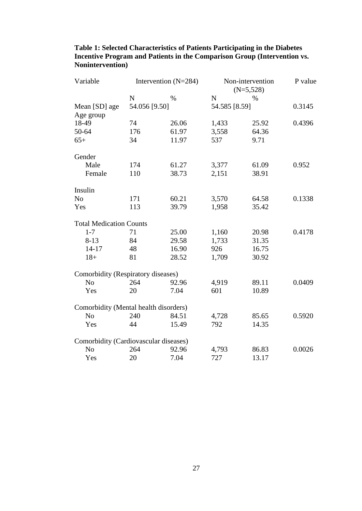| Variable                              | Intervention $(N=284)$ |       | Non-intervention<br>$(N=5,528)$ |       | P value |
|---------------------------------------|------------------------|-------|---------------------------------|-------|---------|
|                                       | $\mathbf N$            | $\%$  | $\mathbf N$                     | $\%$  |         |
| Mean [SD] age                         | 54.056 [9.50]          |       | 54.585 [8.59]                   |       | 0.3145  |
| Age group                             |                        |       |                                 |       |         |
| 18-49                                 | 74                     | 26.06 | 1,433                           | 25.92 | 0.4396  |
| 50-64                                 | 176                    | 61.97 | 3,558                           | 64.36 |         |
| $65+$                                 | 34                     | 11.97 | 537                             | 9.71  |         |
| Gender                                |                        |       |                                 |       |         |
| Male                                  | 174                    | 61.27 | 3,377                           | 61.09 | 0.952   |
| Female                                | 110                    | 38.73 | 2,151                           | 38.91 |         |
| Insulin                               |                        |       |                                 |       |         |
| N <sub>o</sub>                        | 171                    | 60.21 | 3,570                           | 64.58 | 0.1338  |
| Yes                                   | 113                    | 39.79 | 1,958                           | 35.42 |         |
| <b>Total Medication Counts</b>        |                        |       |                                 |       |         |
| $1 - 7$                               | 71                     | 25.00 | 1,160                           | 20.98 | 0.4178  |
| $8 - 13$                              | 84                     | 29.58 | 1,733                           | 31.35 |         |
| $14 - 17$                             | 48                     | 16.90 | 926                             | 16.75 |         |
| $18+$                                 | 81                     | 28.52 | 1,709                           | 30.92 |         |
| Comorbidity (Respiratory diseases)    |                        |       |                                 |       |         |
| N <sub>o</sub>                        | 264                    | 92.96 | 4,919                           | 89.11 | 0.0409  |
| Yes                                   | 20                     | 7.04  | 601                             | 10.89 |         |
| Comorbidity (Mental health disorders) |                        |       |                                 |       |         |
| N <sub>o</sub>                        | 240                    | 84.51 | 4,728                           | 85.65 | 0.5920  |
| Yes                                   | 44                     | 15.49 | 792                             | 14.35 |         |
| Comorbidity (Cardiovascular diseases) |                        |       |                                 |       |         |
| N <sub>o</sub>                        | 264                    | 92.96 | 4,793                           | 86.83 | 0.0026  |
| Yes                                   | 20                     | 7.04  | 727                             | 13.17 |         |

# **Table 1: Selected Characteristics of Patients Participating in the Diabetes Incentive Program and Patients in the Comparison Group (Intervention vs. Nonintervention)**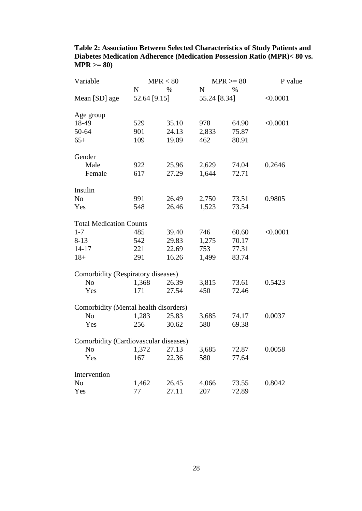| Table 2: Association Between Selected Characteristics of Study Patients and |
|-----------------------------------------------------------------------------|
| Diabetes Medication Adherence (Medication Possession Ratio (MPR)< 80 vs.    |
| $MPR > = 80$                                                                |

| Variable                              |              | MPR < 80 |              | $MPR \geq 80$ | P value  |
|---------------------------------------|--------------|----------|--------------|---------------|----------|
|                                       | N            | $\%$     | $\mathbf N$  | $\%$          |          |
| Mean [SD] age                         | 52.64 [9.15] |          | 55.24 [8.34] |               | < 0.0001 |
| Age group                             |              |          |              |               |          |
| 18-49                                 | 529          | 35.10    | 978          | 64.90         | < 0.0001 |
| 50-64                                 | 901          | 24.13    | 2,833        | 75.87         |          |
| $65+$                                 | 109          | 19.09    | 462          | 80.91         |          |
| Gender                                |              |          |              |               |          |
| Male                                  | 922          | 25.96    | 2,629        | 74.04         | 0.2646   |
| Female                                | 617          | 27.29    | 1,644        | 72.71         |          |
| Insulin                               |              |          |              |               |          |
| N <sub>o</sub>                        | 991          | 26.49    | 2,750        | 73.51         | 0.9805   |
| Yes                                   | 548          | 26.46    | 1,523        | 73.54         |          |
| <b>Total Medication Counts</b>        |              |          |              |               |          |
| $1 - 7$                               | 485          | 39.40    | 746          | 60.60         | < 0.0001 |
| $8 - 13$                              | 542          | 29.83    | 1,275        | 70.17         |          |
| $14 - 17$                             | 221          | 22.69    | 753          | 77.31         |          |
| $18+$                                 | 291          | 16.26    | 1,499        | 83.74         |          |
| Comorbidity (Respiratory diseases)    |              |          |              |               |          |
| N <sub>o</sub>                        | 1,368        | 26.39    | 3,815        | 73.61         | 0.5423   |
| Yes                                   | 171          | 27.54    | 450          | 72.46         |          |
| Comorbidity (Mental health disorders) |              |          |              |               |          |
| N <sub>o</sub>                        | 1,283        | 25.83    | 3,685        | 74.17         | 0.0037   |
| Yes                                   | 256          | 30.62    | 580          | 69.38         |          |
| Comorbidity (Cardiovascular diseases) |              |          |              |               |          |
| N <sub>o</sub>                        | 1,372        | 27.13    | 3,685        | 72.87         | 0.0058   |
| Yes                                   | 167          | 22.36    | 580          | 77.64         |          |
| Intervention                          |              |          |              |               |          |
| No                                    | 1,462        | 26.45    | 4,066        | 73.55         | 0.8042   |
| Yes                                   | 77           | 27.11    | 207          | 72.89         |          |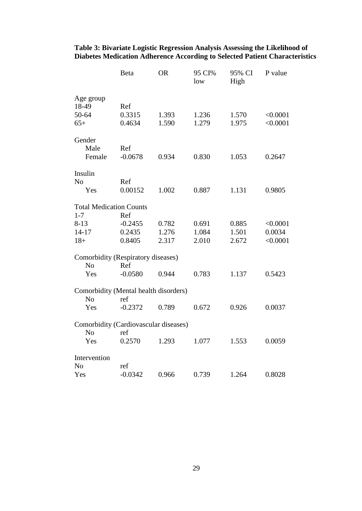|                                       | <b>Beta</b>   | <b>OR</b> | 95 CI%<br>low | 95% CI<br>High | P value  |
|---------------------------------------|---------------|-----------|---------------|----------------|----------|
| Age group<br>18-49<br>50-64           | Ref<br>0.3315 | 1.393     | 1.236         | 1.570          | < 0.0001 |
| $65+$                                 | 0.4634        | 1.590     | 1.279         | 1.975          | < 0.0001 |
| Gender                                |               |           |               |                |          |
| Male                                  | Ref           |           |               |                |          |
| Female                                | $-0.0678$     | 0.934     | 0.830         | 1.053          | 0.2647   |
| Insulin                               |               |           |               |                |          |
| N <sub>o</sub>                        | Ref           |           |               |                |          |
| Yes                                   | 0.00152       | 1.002     | 0.887         | 1.131          | 0.9805   |
| <b>Total Medication Counts</b>        |               |           |               |                |          |
| $1 - 7$                               | Ref           |           |               |                |          |
| $8 - 13$                              | $-0.2455$     | 0.782     | 0.691         | 0.885          | < 0.0001 |
| $14 - 17$                             | 0.2435        | 1.276     | 1.084         | 1.501          | 0.0034   |
| $18+$                                 | 0.8405        | 2.317     | 2.010         | 2.672          | < 0.0001 |
| Comorbidity (Respiratory diseases)    |               |           |               |                |          |
| N <sub>o</sub>                        | Ref           |           |               |                |          |
| Yes                                   | $-0.0580$     | 0.944     | 0.783         | 1.137          | 0.5423   |
| Comorbidity (Mental health disorders) |               |           |               |                |          |
| N <sub>o</sub>                        | ref           |           |               |                |          |
| Yes                                   | $-0.2372$     | 0.789     | 0.672         | 0.926          | 0.0037   |
| Comorbidity (Cardiovascular diseases) |               |           |               |                |          |
| N <sub>o</sub>                        | ref           |           |               |                |          |
| Yes                                   | 0.2570        | 1.293     | 1.077         | 1.553          | 0.0059   |
| Intervention                          |               |           |               |                |          |
| N <sub>o</sub>                        | ref           |           |               |                |          |
| Yes                                   | $-0.0342$     | 0.966     | 0.739         | 1.264          | 0.8028   |

### **Table 3: Bivariate Logistic Regression Analysis Assessing the Likelihood of Diabetes Medication Adherence According to Selected Patient Characteristics**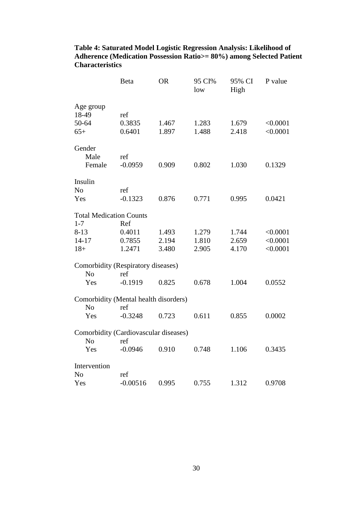|                                                         | <b>Beta</b>             | <b>OR</b> | 95 CI%<br>low | 95% CI<br>High | P value              |
|---------------------------------------------------------|-------------------------|-----------|---------------|----------------|----------------------|
| Age group<br>18-49<br>50-64<br>$65+$                    | ref<br>0.3835<br>0.6401 | 1.467     | 1.283         | 1.679<br>2.418 | < 0.0001<br>< 0.0001 |
|                                                         |                         | 1.897     | 1.488         |                |                      |
| Gender<br>Male<br>Female                                | ref<br>$-0.0959$        | 0.909     | 0.802         | 1.030          | 0.1329               |
| Insulin                                                 |                         |           |               |                |                      |
| N <sub>o</sub>                                          | ref                     |           |               |                |                      |
| Yes                                                     | $-0.1323$               | 0.876     | 0.771         | 0.995          | 0.0421               |
| <b>Total Medication Counts</b>                          |                         |           |               |                |                      |
| $1 - 7$                                                 | Ref                     |           |               |                |                      |
| $8 - 13$                                                | 0.4011                  | 1.493     | 1.279         | 1.744          | < 0.0001             |
| $14 - 17$                                               | 0.7855                  | 2.194     | 1.810         | 2.659          | < 0.0001             |
| $18+$                                                   | 1.2471                  | 3.480     | 2.905         | 4.170          | < 0.0001             |
| Comorbidity (Respiratory diseases)<br>N <sub>o</sub>    | ref                     |           |               |                |                      |
| Yes                                                     | $-0.1919$               | 0.825     | 0.678         | 1.004          | 0.0552               |
| Comorbidity (Mental health disorders)<br>N <sub>o</sub> | ref                     |           |               |                |                      |
| Yes                                                     | $-0.3248$               | 0.723     | 0.611         | 0.855          | 0.0002               |
| Comorbidity (Cardiovascular diseases)                   |                         |           |               |                |                      |
| N <sub>o</sub>                                          | ref                     |           |               |                |                      |
| Yes                                                     | $-0.0946$               | 0.910     | 0.748         | 1.106          | 0.3435               |
| Intervention                                            |                         |           |               |                |                      |
| No                                                      | ref                     |           |               |                |                      |
| Yes                                                     | $-0.00516$              | 0.995     | 0.755         | 1.312          | 0.9708               |

### **Table 4: Saturated Model Logistic Regression Analysis: Likelihood of Adherence (Medication Possession Ratio>= 80%) among Selected Patient Characteristics**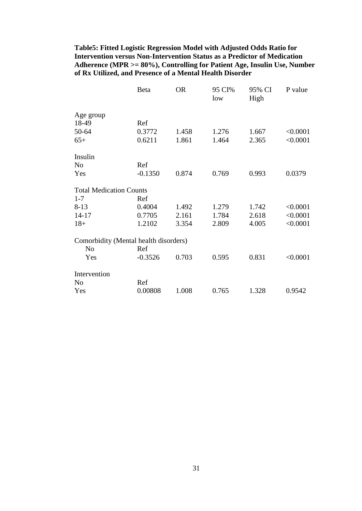**Table5: Fitted Logistic Regression Model with Adjusted Odds Ratio for Intervention versus Non-Intervention Status as a Predictor of Medication Adherence (MPR >= 80%), Controlling for Patient Age, Insulin Use, Number of Rx Utilized, and Presence of a Mental Health Disorder**

|                                       | Beta      | <b>OR</b> | 95 CI%<br>low | 95% CI<br>High | P value  |
|---------------------------------------|-----------|-----------|---------------|----------------|----------|
| Age group                             |           |           |               |                |          |
| 18-49                                 | Ref       |           |               |                |          |
| 50-64                                 | 0.3772    | 1.458     | 1.276         | 1.667          | < 0.0001 |
| $65+$                                 | 0.6211    | 1.861     | 1.464         | 2.365          | < 0.0001 |
| Insulin                               |           |           |               |                |          |
| N <sub>0</sub>                        | Ref       |           |               |                |          |
| Yes                                   | $-0.1350$ | 0.874     | 0.769         | 0.993          | 0.0379   |
| <b>Total Medication Counts</b>        |           |           |               |                |          |
| $1 - 7$                               | Ref       |           |               |                |          |
| $8-13$                                | 0.4004    | 1.492     | 1.279         | 1.742          | < 0.0001 |
| $14 - 17$                             | 0.7705    | 2.161     | 1.784         | 2.618          | < 0.0001 |
| $18+$                                 | 1.2102    | 3.354     | 2.809         | 4.005          | < 0.0001 |
| Comorbidity (Mental health disorders) |           |           |               |                |          |
| N <sub>o</sub>                        | Ref       |           |               |                |          |
| Yes                                   | $-0.3526$ | 0.703     | 0.595         | 0.831          | < 0.0001 |
| Intervention                          |           |           |               |                |          |
| N <sub>o</sub>                        | Ref       |           |               |                |          |
| Yes                                   | 0.00808   | 1.008     | 0.765         | 1.328          | 0.9542   |
|                                       |           |           |               |                |          |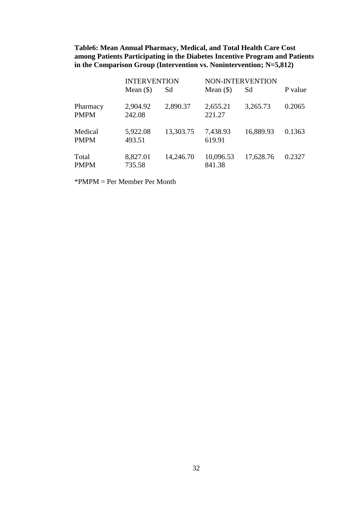**Table6: Mean Annual Pharmacy, Medical, and Total Health Care Cost among Patients Participating in the Diabetes Incentive Program and Patients**  in the Comparison Group (Intervention vs. Nonintervention; N=5,812)

|                         | <b>INTERVENTION</b> |           | <b>NON-INTERVENTION</b> |           |         |  |
|-------------------------|---------------------|-----------|-------------------------|-----------|---------|--|
|                         | Mean $(\$)$         | Sd        | Mean $(\$)$             | Sd        | P value |  |
| Pharmacy<br><b>PMPM</b> | 2,904.92<br>242.08  | 2,890.37  | 2,655.21<br>221.27      | 3,265.73  | 0.2065  |  |
| Medical<br><b>PMPM</b>  | 5,922.08<br>493.51  | 13,303.75 | 7,438.93<br>619.91      | 16,889.93 | 0.1363  |  |
| Total<br><b>PMPM</b>    | 8,827.01<br>735.58  | 14,246.70 | 10,096.53<br>841.38     | 17,628.76 | 0.2327  |  |

\*PMPM = Per Member Per Month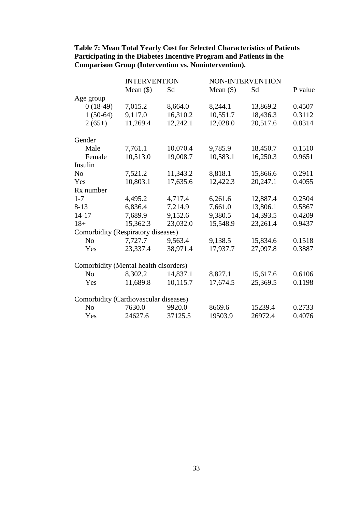|                                       | <b>INTERVENTION</b> |          |             | NON-INTERVENTION |         |
|---------------------------------------|---------------------|----------|-------------|------------------|---------|
|                                       | Mean $(\$)$         | Sd       | Mean $(\$)$ | Sd               | P value |
| Age group                             |                     |          |             |                  |         |
| $0(18-49)$                            | 7,015.2             | 8,664.0  | 8,244.1     | 13,869.2         | 0.4507  |
| $1(50-64)$                            | 9,117.0             | 16,310.2 | 10,551.7    | 18,436.3         | 0.3112  |
| $2(65+)$                              | 11,269.4            | 12,242.1 | 12,028.0    | 20,517.6         | 0.8314  |
| Gender                                |                     |          |             |                  |         |
| Male                                  | 7,761.1             | 10,070.4 | 9,785.9     | 18,450.7         | 0.1510  |
| Female                                | 10,513.0            | 19,008.7 | 10,583.1    | 16,250.3         | 0.9651  |
| Insulin                               |                     |          |             |                  |         |
| N <sub>0</sub>                        | 7,521.2             | 11,343.2 | 8,818.1     | 15,866.6         | 0.2911  |
| Yes                                   | 10,803.1            | 17,635.6 | 12,422.3    | 20,247.1         | 0.4055  |
| Rx number                             |                     |          |             |                  |         |
| $1 - 7$                               | 4,495.2             | 4,717.4  | 6,261.6     | 12,887.4         | 0.2504  |
| $8-13$                                | 6,836.4             | 7,214.9  | 7,661.0     | 13,806.1         | 0.5867  |
| $14 - 17$                             | 7,689.9             | 9,152.6  | 9,380.5     | 14,393.5         | 0.4209  |
| $18+$                                 | 15,362.3            | 23,032.0 | 15,548.9    | 23,261.4         | 0.9437  |
| Comorbidity (Respiratory diseases)    |                     |          |             |                  |         |
| N <sub>o</sub>                        | 7,727.7             | 9,563.4  | 9,138.5     | 15,834.6         | 0.1518  |
| Yes                                   | 23,337.4            | 38,971.4 | 17,937.7    | 27,097.8         | 0.3887  |
| Comorbidity (Mental health disorders) |                     |          |             |                  |         |
| N <sub>o</sub>                        | 8,302.2             | 14,837.1 | 8,827.1     | 15,617.6         | 0.6106  |
| Yes                                   | 11,689.8            | 10,115.7 | 17,674.5    | 25,369.5         | 0.1198  |
| Comorbidity (Cardiovascular diseases) |                     |          |             |                  |         |
| N <sub>o</sub>                        | 7630.0              | 9920.0   | 8669.6      | 15239.4          | 0.2733  |
| Yes                                   | 24627.6             | 37125.5  | 19503.9     | 26972.4          | 0.4076  |

# **Table 7: Mean Total Yearly Cost for Selected Characteristics of Patients Participating in the Diabetes Incentive Program and Patients in the Comparison Group (Intervention vs. Nonintervention).**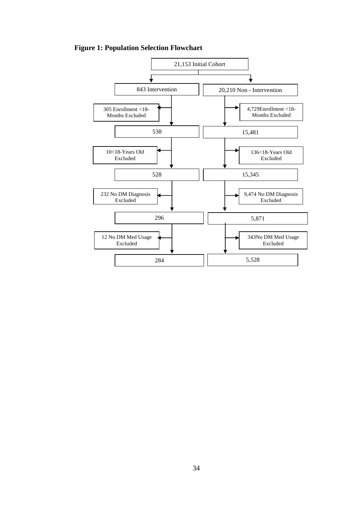**Figure 1: Population Selection Flowchart**

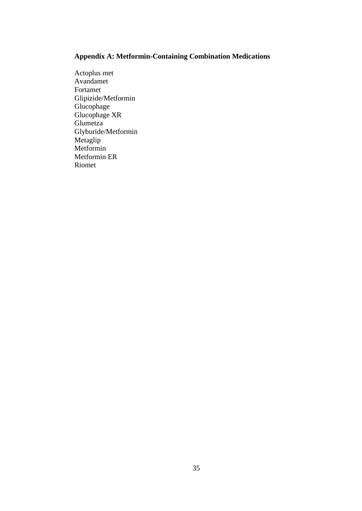# **Appendix A: Metformin-Containing Combination Medications**

Actoplus met Avandamet Fortamet Glipizide/Metformin Glucophage Glucophage XR Glumetza Glyburide/Metformin Metaglip Metformin Metformin ER Riomet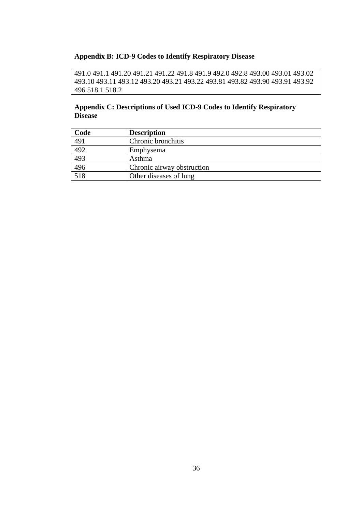### **Appendix B: ICD-9 Codes to Identify Respiratory Disease**

491.0 491.1 491.20 491.21 491.22 491.8 491.9 492.0 492.8 493.00 493.01 493.02 493.10 493.11 493.12 493.20 493.21 493.22 493.81 493.82 493.90 493.91 493.92 496 518.1 518.2

# **Appendix C: Descriptions of Used ICD-9 Codes to Identify Respiratory Disease**

| Code | <b>Description</b>         |
|------|----------------------------|
| 491  | Chronic bronchitis         |
| 492  | Emphysema                  |
| 493  | Asthma                     |
| 496  | Chronic airway obstruction |
| 518  | Other diseases of lung     |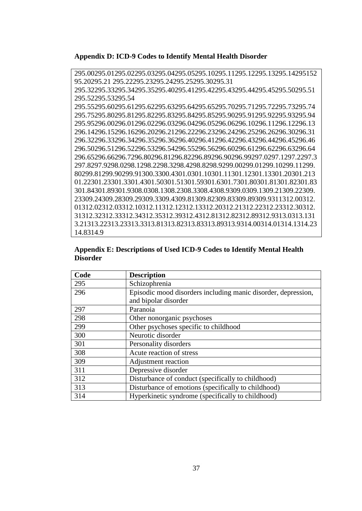**Appendix D: ICD-9 Codes to Identify Mental Health Disorder**

295.00295.01295.02295.03295.04295.05295.10295.11295.12295.13295.14295152 95.20295.21 295.22295.23295.24295.25295.30295.31 295.32295.33295.34295.35295.40295.41295.42295.43295.44295.45295.50295.51 295.52295.53295.54 295.55295.60295.61295.62295.63295.64295.65295.70295.71295.72295.73295.74 295.75295.80295.81295.82295.83295.84295.85295.90295.91295.92295.93295.94 295.95296.00296.01296.02296.03296.04296.05296.06296.10296.11296.12296.13 296.14296.15296.16296.20296.21296.22296.23296.24296.25296.26296.30296.31 296.32296.33296.34296.35296.36296.40296.41296.42296.43296.44296.45296.46 296.50296.51296.52296.53296.54296.55296.56296.60296.61296.62296.63296.64 296.65296.66296.7296.80296.81296.82296.89296.90296.99297.0297.1297.2297.3 297.8297.9298.0298.1298.2298.3298.4298.8298.9299.00299.01299.10299.11299. 80299.81299.90299.91300.3300.4301.0301.10301.11301.12301.13301.20301.213 01.22301.23301.3301.4301.50301.51301.59301.6301.7301.80301.81301.82301.83 301.84301.89301.9308.0308.1308.2308.3308.4308.9309.0309.1309.21309.22309. 23309.24309.28309.29309.3309.4309.81309.82309.83309.89309.9311312.00312. 01312.02312.03312.10312.11312.12312.13312.20312.21312.22312.23312.30312. 31312.32312.33312.34312.35312.39312.4312.81312.82312.89312.9313.0313.131 3.21313.22313.23313.3313.81313.82313.83313.89313.9314.00314.01314.1314.23 14.8314.9

| Appendix E: Descriptions of Used ICD-9 Codes to Identify Mental Health |  |
|------------------------------------------------------------------------|--|
| <b>Disorder</b>                                                        |  |

| Code | <b>Description</b>                                            |
|------|---------------------------------------------------------------|
| 295  | Schizophrenia                                                 |
| 296  | Episodic mood disorders including manic disorder, depression, |
|      | and bipolar disorder                                          |
| 297  | Paranoia                                                      |
| 298  | Other nonorganic psychoses                                    |
| 299  | Other psychoses specific to childhood                         |
| 300  | Neurotic disorder                                             |
| 301  | Personality disorders                                         |
| 308  | Acute reaction of stress                                      |
| 309  | Adjustment reaction                                           |
| 311  | Depressive disorder                                           |
| 312  | Disturbance of conduct (specifically to childhood)            |
| 313  | Disturbance of emotions (specifically to childhood)           |
| 314  | Hyperkinetic syndrome (specifically to childhood)             |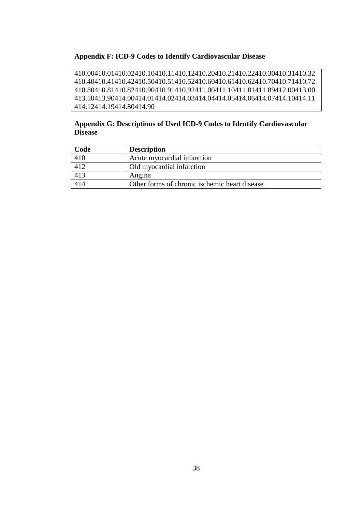# **Appendix F: ICD-9 Codes to Identify Cardiovascular Disease**

410.00410.01410.02410.10410.11410.12410.20410.21410.22410.30410.31410.32 410.40410.41410.42410.50410.51410.52410.60410.61410.62410.70410.71410.72 410.80410.81410.82410.90410.91410.92411.00411.10411.81411.89412.00413.00 413.10413.90414.00414.01414.02414.03414.04414.05414.06414.07414.10414.11 414.12414.19414.80414.90

# **Appendix G: Descriptions of Used ICD-9 Codes to Identify Cardiovascular Disease**

| Code             | <b>Description</b>                            |
|------------------|-----------------------------------------------|
| 410              | Acute myocardial infarction                   |
| $\overline{412}$ | Old myocardial infarction                     |
| 413              | Angina                                        |
| 414              | Other forms of chronic ischemic heart disease |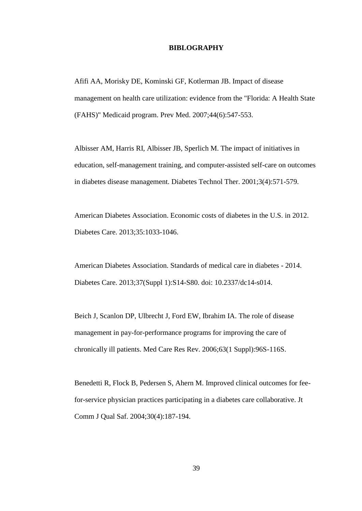#### **BIBLOGRAPHY**

Afifi AA, Morisky DE, Kominski GF, Kotlerman JB. Impact of disease management on health care utilization: evidence from the "Florida: A Health State (FAHS)" Medicaid program. Prev Med. 2007;44(6):547-553.

Albisser AM, Harris RI, Albisser JB, Sperlich M. The impact of initiatives in education, self-management training, and computer-assisted self-care on outcomes in diabetes disease management. Diabetes Technol Ther. 2001;3(4):571-579.

American Diabetes Association. Economic costs of diabetes in the U.S. in 2012. Diabetes Care. 2013;35:1033-1046.

American Diabetes Association. Standards of medical care in diabetes - 2014. Diabetes Care. 2013;37(Suppl 1):S14-S80. doi: 10.2337/dc14-s014.

Beich J, Scanlon DP, Ulbrecht J, Ford EW, Ibrahim IA. The role of disease management in pay-for-performance programs for improving the care of chronically ill patients. Med Care Res Rev. 2006;63(1 Suppl):96S-116S.

Benedetti R, Flock B, Pedersen S, Ahern M. Improved clinical outcomes for feefor-service physician practices participating in a diabetes care collaborative. Jt Comm J Qual Saf. 2004;30(4):187-194.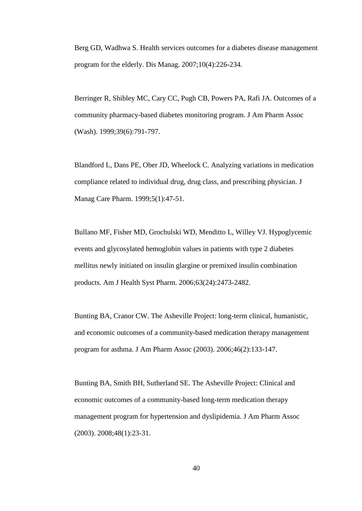Berg GD, Wadhwa S. Health services outcomes for a diabetes disease management program for the elderly. Dis Manag. 2007;10(4):226-234.

Berringer R, Shibley MC, Cary CC, Pugh CB, Powers PA, Rafi JA. Outcomes of a community pharmacy-based diabetes monitoring program. J Am Pharm Assoc (Wash). 1999;39(6):791-797.

Blandford L, Dans PE, Ober JD, Wheelock C. Analyzing variations in medication compliance related to individual drug, drug class, and prescribing physician. J Manag Care Pharm. 1999;5(1):47-51.

Bullano MF, Fisher MD, Grochulski WD, Menditto L, Willey VJ. Hypoglycemic events and glycosylated hemoglobin values in patients with type 2 diabetes mellitus newly initiated on insulin glargine or premixed insulin combination products. Am J Health Syst Pharm. 2006;63(24):2473-2482.

Bunting BA, Cranor CW. The Asheville Project: long-term clinical, humanistic, and economic outcomes of a community-based medication therapy management program for asthma. J Am Pharm Assoc (2003). 2006;46(2):133-147.

Bunting BA, Smith BH, Sutherland SE. The Asheville Project: Clinical and economic outcomes of a community-based long-term medication therapy management program for hypertension and dyslipidemia. J Am Pharm Assoc (2003). 2008;48(1):23-31.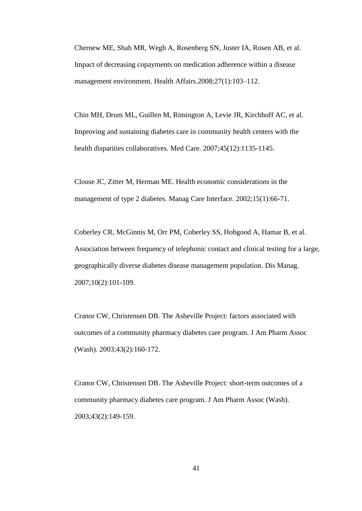Chernew ME, Shah MR, Wegh A, Rosenberg SN, Juster IA, Rosen AB, et al. Impact of decreasing copayments on medication adherence within a disease management environment. Health Affairs.2008;27(1):103–112.

Chin MH, Drum ML, Guillen M, Rimington A, Levie JR, Kirchhoff AC, et al. Improving and sustaining diabetes care in community health centers with the health disparities collaboratives. Med Care. 2007;45(12):1135-1145.

Clouse JC, Zitter M, Herman ME. Health economic considerations in the management of type 2 diabetes. Manag Care Interface. 2002;15(1):66-71.

Coberley CR, McGinnis M, Orr PM, Coberley SS, Hobgood A, Hamar B, et al. Association between frequency of telephonic contact and clinical testing for a large, geographically diverse diabetes disease management population. Dis Manag. 2007;10(2):101-109.

Cranor CW, Christensen DB. The Asheville Project: factors associated with outcomes of a community pharmacy diabetes care program. J Am Pharm Assoc (Wash). 2003;43(2):160-172.

Cranor CW, Christensen DB. The Asheville Project: short-term outcomes of a community pharmacy diabetes care program. J Am Pharm Assoc (Wash). 2003;43(2):149-159.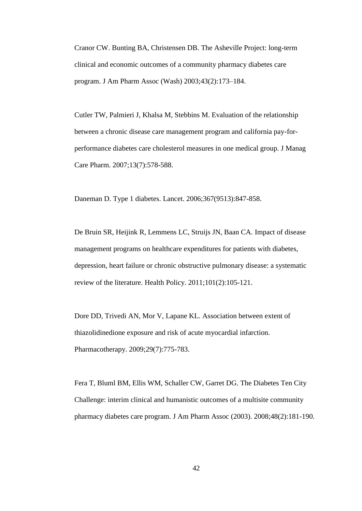Cranor CW. Bunting BA, Christensen DB. The Asheville Project: long-term clinical and economic outcomes of a community pharmacy diabetes care program. J Am Pharm Assoc (Wash) 2003;43(2):173–184.

Cutler TW, Palmieri J, Khalsa M, Stebbins M. Evaluation of the relationship between a chronic disease care management program and california pay-forperformance diabetes care cholesterol measures in one medical group. J Manag Care Pharm. 2007;13(7):578-588.

Daneman D. Type 1 diabetes. Lancet. 2006;367(9513):847-858.

De Bruin SR, Heijink R, Lemmens LC, Struijs JN, Baan CA. Impact of disease management programs on healthcare expenditures for patients with diabetes, depression, heart failure or chronic obstructive pulmonary disease: a systematic review of the literature. Health Policy. 2011;101(2):105-121.

Dore DD, Trivedi AN, Mor V, Lapane KL. Association between extent of thiazolidinedione exposure and risk of acute myocardial infarction. Pharmacotherapy. 2009;29(7):775-783.

Fera T, Bluml BM, Ellis WM, Schaller CW, Garret DG. The Diabetes Ten City Challenge: interim clinical and humanistic outcomes of a multisite community pharmacy diabetes care program. J Am Pharm Assoc (2003). 2008;48(2):181-190.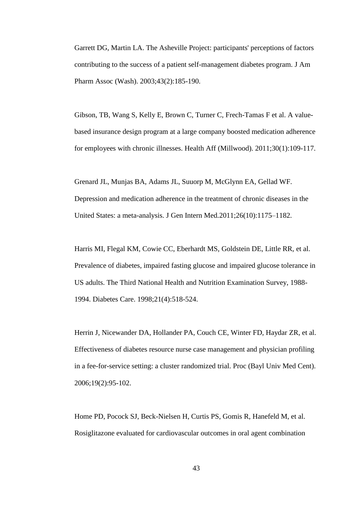Garrett DG, Martin LA. The Asheville Project: participants' perceptions of factors contributing to the success of a patient self-management diabetes program. J Am Pharm Assoc (Wash). 2003;43(2):185-190.

Gibson, TB, Wang S, Kelly E, Brown C, Turner C, Frech-Tamas F et al. A valuebased insurance design program at a large company boosted medication adherence for employees with chronic illnesses. Health Aff (Millwood). 2011;30(1):109-117.

Grenard JL, Munjas BA, Adams JL, Suuorp M, McGlynn EA, Gellad WF. Depression and medication adherence in the treatment of chronic diseases in the United States: a meta-analysis. J Gen Intern Med.2011;26(10):1175–1182.

Harris MI, Flegal KM, Cowie CC, Eberhardt MS, Goldstein DE, Little RR, et al. Prevalence of diabetes, impaired fasting glucose and impaired glucose tolerance in US adults. The Third National Health and Nutrition Examination Survey, 1988- 1994. Diabetes Care. 1998;21(4):518-524.

Herrin J, Nicewander DA, Hollander PA, Couch CE, Winter FD, Haydar ZR, et al. Effectiveness of diabetes resource nurse case management and physician profiling in a fee-for-service setting: a cluster randomized trial. Proc (Bayl Univ Med Cent). 2006;19(2):95-102.

Home PD, Pocock SJ, Beck-Nielsen H, Curtis PS, Gomis R, Hanefeld M, et al. Rosiglitazone evaluated for cardiovascular outcomes in oral agent combination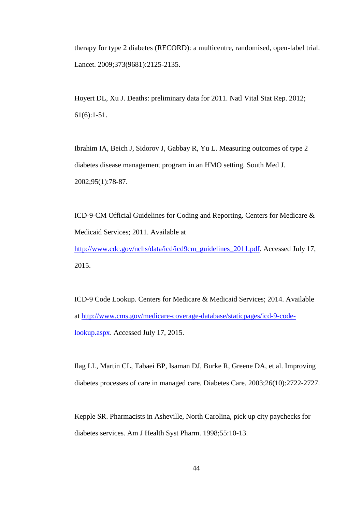therapy for type 2 diabetes (RECORD): a multicentre, randomised, open-label trial. Lancet. 2009;373(9681):2125-2135.

Hoyert DL, Xu J. Deaths: preliminary data for 2011. Natl Vital Stat Rep. 2012; 61(6):1-51.

Ibrahim IA, Beich J, Sidorov J, Gabbay R, Yu L. Measuring outcomes of type 2 diabetes disease management program in an HMO setting. South Med J. 2002;95(1):78-87.

ICD-9-CM Official Guidelines for Coding and Reporting. Centers for Medicare & Medicaid Services; 2011. Available at

[http://www.cdc.gov/nchs/data/icd/icd9cm\\_guidelines\\_2011.pdf.](http://www.cdc.gov/nchs/data/icd/icd9cm_guidelines_2011.pdf) Accessed July 17, 2015.

ICD-9 Code Lookup. Centers for Medicare & Medicaid Services; 2014. Available at [http://www.cms.gov/medicare-coverage-database/staticpages/icd-9-code](http://www.cms.gov/medicare-coverage-database/staticpages/icd-9-code-lookup.aspx)[lookup.aspx.](http://www.cms.gov/medicare-coverage-database/staticpages/icd-9-code-lookup.aspx) Accessed July 17, 2015.

Ilag LL, Martin CL, Tabaei BP, Isaman DJ, Burke R, Greene DA, et al. Improving diabetes processes of care in managed care. Diabetes Care. 2003;26(10):2722-2727.

Kepple SR. Pharmacists in Asheville, North Carolina, pick up city paychecks for diabetes services. Am J Health Syst Pharm. 1998;55:10-13.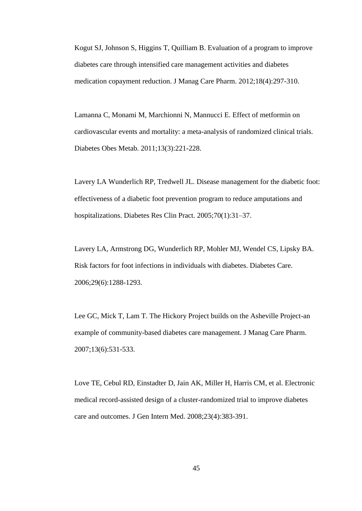Kogut SJ, Johnson S, Higgins T, Quilliam B. Evaluation of a program to improve diabetes care through intensified care management activities and diabetes medication copayment reduction. J Manag Care Pharm. 2012;18(4):297-310.

Lamanna C, Monami M, Marchionni N, Mannucci E. Effect of metformin on cardiovascular events and mortality: a meta-analysis of randomized clinical trials. Diabetes Obes Metab. 2011;13(3):221-228.

Lavery LA Wunderlich RP, Tredwell JL. Disease management for the diabetic foot: effectiveness of a diabetic foot prevention program to reduce amputations and hospitalizations. Diabetes Res Clin Pract. 2005;70(1):31–37.

Lavery LA, Armstrong DG, Wunderlich RP, Mohler MJ, Wendel CS, Lipsky BA. Risk factors for foot infections in individuals with diabetes. Diabetes Care. 2006;29(6):1288-1293.

Lee GC, Mick T, Lam T. The Hickory Project builds on the Asheville Project-an example of community-based diabetes care management. J Manag Care Pharm. 2007;13(6):531-533.

Love TE, Cebul RD, Einstadter D, Jain AK, Miller H, Harris CM, et al. Electronic medical record-assisted design of a cluster-randomized trial to improve diabetes care and outcomes. J Gen Intern Med. 2008;23(4):383-391.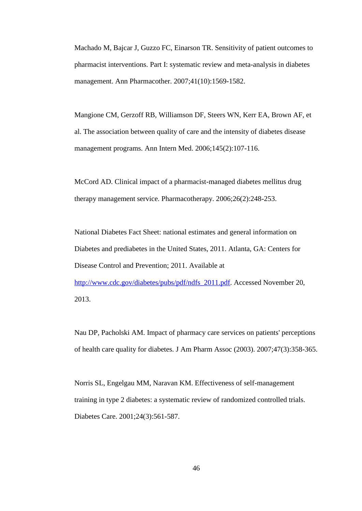Machado M, Bajcar J, Guzzo FC, Einarson TR. Sensitivity of patient outcomes to pharmacist interventions. Part I: systematic review and meta-analysis in diabetes management. Ann Pharmacother. 2007;41(10):1569-1582.

Mangione CM, Gerzoff RB, Williamson DF, Steers WN, Kerr EA, Brown AF, et al. The association between quality of care and the intensity of diabetes disease management programs. Ann Intern Med. 2006;145(2):107-116.

McCord AD. Clinical impact of a pharmacist-managed diabetes mellitus drug therapy management service. Pharmacotherapy. 2006;26(2):248-253.

National Diabetes Fact Sheet: national estimates and general information on Diabetes and prediabetes in the United States, 2011. Atlanta, GA: Centers for Disease Control and Prevention; 2011. Available at http://www.cdc.gov/diabetes/pubs/pdf/ndfs 2011.pdf. Accessed November 20, 2013.

Nau DP, Pacholski AM. Impact of pharmacy care services on patients' perceptions of health care quality for diabetes. J Am Pharm Assoc (2003). 2007;47(3):358-365.

Norris SL, Engelgau MM, Naravan KM. Effectiveness of self-management training in type 2 diabetes: a systematic review of randomized controlled trials. Diabetes Care. 2001;24(3):561-587.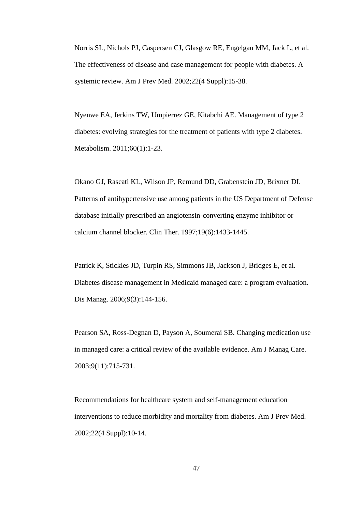Norris SL, Nichols PJ, Caspersen CJ, Glasgow RE, Engelgau MM, Jack L, et al. The effectiveness of disease and case management for people with diabetes. A systemic review. Am J Prev Med. 2002;22(4 Suppl):15-38.

Nyenwe EA, Jerkins TW, Umpierrez GE, Kitabchi AE. Management of type 2 diabetes: evolving strategies for the treatment of patients with type 2 diabetes. Metabolism. 2011;60(1):1-23.

Okano GJ, Rascati KL, Wilson JP, Remund DD, Grabenstein JD, Brixner DI. Patterns of antihypertensive use among patients in the US Department of Defense database initially prescribed an angiotensin-converting enzyme inhibitor or calcium channel blocker. Clin Ther. 1997;19(6):1433-1445.

Patrick K, Stickles JD, Turpin RS, Simmons JB, Jackson J, Bridges E, et al. Diabetes disease management in Medicaid managed care: a program evaluation. Dis Manag. 2006;9(3):144-156.

Pearson SA, Ross-Degnan D, Payson A, Soumerai SB. Changing medication use in managed care: a critical review of the available evidence. Am J Manag Care. 2003;9(11):715-731.

Recommendations for healthcare system and self-management education interventions to reduce morbidity and mortality from diabetes. Am J Prev Med. 2002;22(4 Suppl):10-14.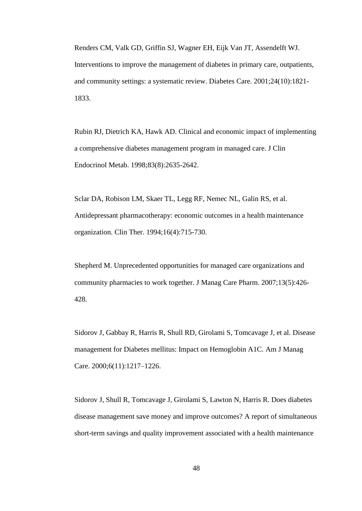Renders CM, Valk GD, Griffin SJ, Wagner EH, Eijk Van JT, Assendelft WJ. Interventions to improve the management of diabetes in primary care, outpatients, and community settings: a systematic review. Diabetes Care. 2001;24(10):1821- 1833.

Rubin RJ, Dietrich KA, Hawk AD. Clinical and economic impact of implementing a comprehensive diabetes management program in managed care. J Clin Endocrinol Metab. 1998;83(8):2635-2642.

Sclar DA, Robison LM, Skaer TL, Legg RF, Nemec NL, Galin RS, et al. Antidepressant pharmacotherapy: economic outcomes in a health maintenance organization. Clin Ther. 1994;16(4):715-730.

Shepherd M. Unprecedented opportunities for managed care organizations and community pharmacies to work together. J Manag Care Pharm. 2007;13(5):426- 428.

Sidorov J, Gabbay R, Harris R, Shull RD, Girolami S, Tomcavage J, et al. Disease management for Diabetes mellitus: Impact on Hemoglobin A1C. Am J Manag Care. 2000;6(11):1217–1226.

Sidorov J, Shull R, Tomcavage J, Girolami S, Lawton N, Harris R. Does diabetes disease management save money and improve outcomes? A report of simultaneous short-term savings and quality improvement associated with a health maintenance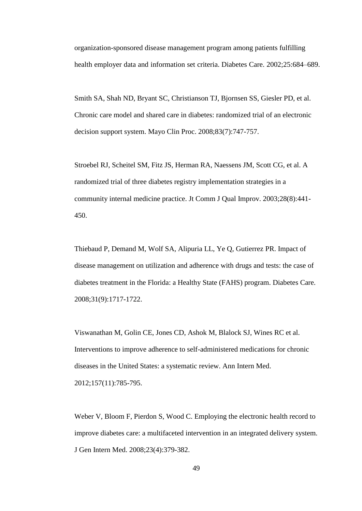organization-sponsored disease management program among patients fulfilling health employer data and information set criteria. Diabetes Care. 2002;25:684–689.

Smith SA, Shah ND, Bryant SC, Christianson TJ, Bjornsen SS, Giesler PD, et al. Chronic care model and shared care in diabetes: randomized trial of an electronic decision support system. Mayo Clin Proc. 2008;83(7):747-757.

Stroebel RJ, Scheitel SM, Fitz JS, Herman RA, Naessens JM, Scott CG, et al. A randomized trial of three diabetes registry implementation strategies in a community internal medicine practice. Jt Comm J Qual Improv. 2003;28(8):441- 450.

Thiebaud P, Demand M, Wolf SA, Alipuria LL, Ye Q, Gutierrez PR. Impact of disease management on utilization and adherence with drugs and tests: the case of diabetes treatment in the Florida: a Healthy State (FAHS) program. Diabetes Care. 2008;31(9):1717-1722.

Viswanathan M, Golin CE, Jones CD, Ashok M, Blalock SJ, Wines RC et al. Interventions to improve adherence to self-administered medications for chronic diseases in the United States: a systematic review. Ann Intern Med. 2012;157(11):785-795.

Weber V, Bloom F, Pierdon S, Wood C. Employing the electronic health record to improve diabetes care: a multifaceted intervention in an integrated delivery system. J Gen Intern Med. 2008;23(4):379-382.